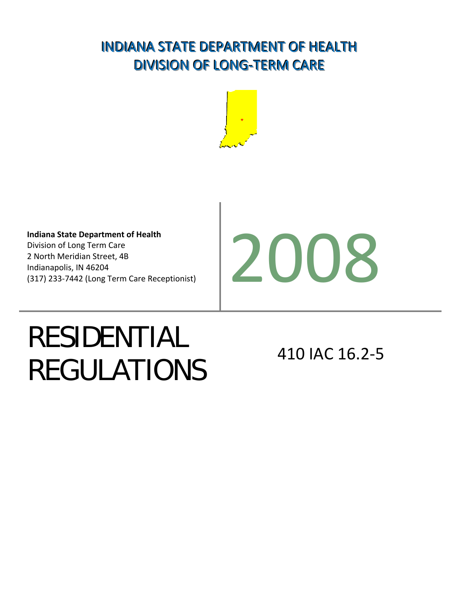## INDIANA STATE DEPARTMENT OF HEALTH DIVISION OF LONG-TERM CARE



**Indiana State Department of Health** Division of Long Term Care 2 North Meridian Street, 4B Indianapolis, IN 46204 Indiana State Department of Health<br>Division of Long Term Care<br>2 North Meridian Street, 4B<br>Indianapolis, IN 46204<br>(317) 233-7442 (Long Term Care Receptionist)



# RESIDENTIAL REGULATIONS 410 IAC 16.2-5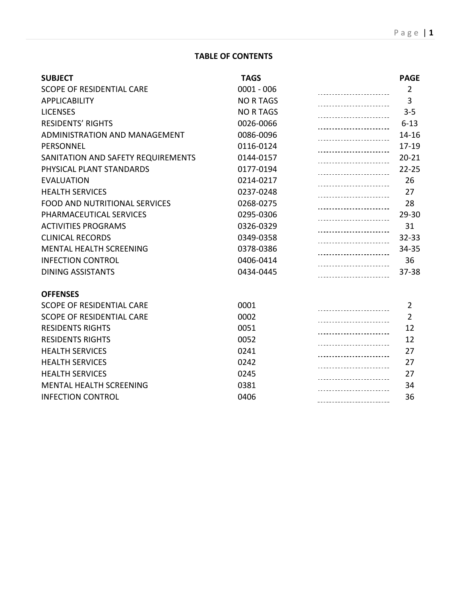#### **TABLE OF CONTENTS**

| <b>SUBJECT</b>                       | <b>TAGS</b>      | <b>PAGE</b>    |
|--------------------------------------|------------------|----------------|
| <b>SCOPE OF RESIDENTIAL CARE</b>     | $0001 - 006$     | $\overline{2}$ |
| <b>APPLICABILITY</b>                 | <b>NO R TAGS</b> | 3              |
| <b>LICENSES</b>                      | <b>NO R TAGS</b> | $3 - 5$        |
| <b>RESIDENTS' RIGHTS</b>             | 0026-0066        | $6 - 13$       |
| ADMINISTRATION AND MANAGEMENT        | 0086-0096        | $14 - 16$      |
| PERSONNEL                            | 0116-0124        | 17-19          |
| SANITATION AND SAFETY REQUIREMENTS   | 0144-0157        | $20 - 21$      |
| PHYSICAL PLANT STANDARDS             | 0177-0194        | $22 - 25$      |
| <b>EVALUATION</b>                    | 0214-0217        | 26             |
| <b>HEALTH SERVICES</b>               | 0237-0248        | 27             |
| <b>FOOD AND NUTRITIONAL SERVICES</b> | 0268-0275        | 28             |
| PHARMACEUTICAL SERVICES              | 0295-0306        | 29-30          |
| <b>ACTIVITIES PROGRAMS</b>           | 0326-0329        | 31             |
| <b>CLINICAL RECORDS</b>              | 0349-0358        | $32 - 33$      |
| <b>MENTAL HEALTH SCREENING</b>       | 0378-0386        | 34-35          |
| <b>INFECTION CONTROL</b>             | 0406-0414        | 36             |
| <b>DINING ASSISTANTS</b>             | 0434-0445        | $37 - 38$      |
| <b>OFFENSES</b>                      |                  |                |
| <b>SCOPE OF RESIDENTIAL CARE</b>     | 0001             | $\overline{2}$ |
| <b>SCOPE OF RESIDENTIAL CARE</b>     | 0002             | $\overline{2}$ |
| <b>RESIDENTS RIGHTS</b>              | 0051             | 12             |
| <b>RESIDENTS RIGHTS</b>              | 0052             | 12             |
| <b>HEALTH SERVICES</b>               | 0241             | 27             |
| <b>HEALTH SERVICES</b>               | 0242             | 27             |
| <b>HEALTH SERVICES</b>               | 0245             | 27             |
| <b>MENTAL HEALTH SCREENING</b>       | 0381             | 34             |
| <b>INFECTION CONTROL</b>             | 0406             | 36             |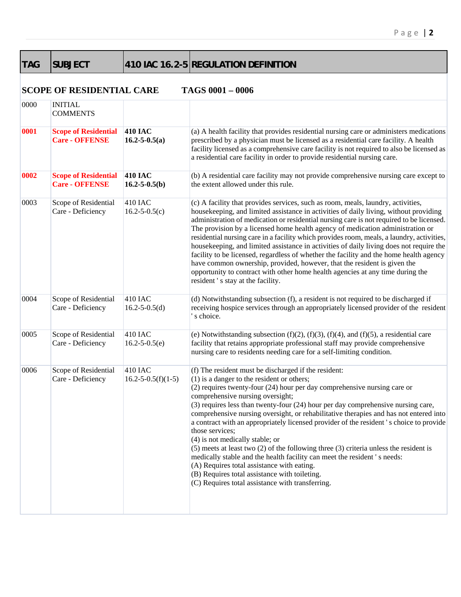| <b>SUBJEC</b> |
|---------------|

T 410 IAC 16.2-5 REGULATION DEFINITION

#### **SCOPE OF RESIDENTIAL CARE TAGS 0001 – 0006**

|      | согд ог комбончин сако                               |                                            |                                                                                                                                                                                                                                                                                                                                                                                                                                                                                                                                                                                                                                                                                                                                                                                                                                                                                |
|------|------------------------------------------------------|--------------------------------------------|--------------------------------------------------------------------------------------------------------------------------------------------------------------------------------------------------------------------------------------------------------------------------------------------------------------------------------------------------------------------------------------------------------------------------------------------------------------------------------------------------------------------------------------------------------------------------------------------------------------------------------------------------------------------------------------------------------------------------------------------------------------------------------------------------------------------------------------------------------------------------------|
| 0000 | <b>INITIAL</b><br><b>COMMENTS</b>                    |                                            |                                                                                                                                                                                                                                                                                                                                                                                                                                                                                                                                                                                                                                                                                                                                                                                                                                                                                |
| 0001 | <b>Scope of Residential</b><br><b>Care - OFFENSE</b> | <b>410 IAC</b><br>$16.2 - 5 - 0.5(a)$      | (a) A health facility that provides residential nursing care or administers medications<br>prescribed by a physician must be licensed as a residential care facility. A health<br>facility licensed as a comprehensive care facility is not required to also be licensed as<br>a residential care facility in order to provide residential nursing care.                                                                                                                                                                                                                                                                                                                                                                                                                                                                                                                       |
| 0002 | <b>Scope of Residential</b><br><b>Care - OFFENSE</b> | <b>410 IAC</b><br>$16.2 - 5 - 0.5(b)$      | (b) A residential care facility may not provide comprehensive nursing care except to<br>the extent allowed under this rule.                                                                                                                                                                                                                                                                                                                                                                                                                                                                                                                                                                                                                                                                                                                                                    |
| 0003 | Scope of Residential<br>Care - Deficiency            | <b>410 IAC</b><br>$16.2 - 5 - 0.5(c)$      | (c) A facility that provides services, such as room, meals, laundry, activities,<br>housekeeping, and limited assistance in activities of daily living, without providing<br>administration of medication or residential nursing care is not required to be licensed.<br>The provision by a licensed home health agency of medication administration or<br>residential nursing care in a facility which provides room, meals, a laundry, activities,<br>housekeeping, and limited assistance in activities of daily living does not require the<br>facility to be licensed, regardless of whether the facility and the home health agency<br>have common ownership, provided, however, that the resident is given the<br>opportunity to contract with other home health agencies at any time during the<br>resident's stay at the facility.                                    |
| 0004 | Scope of Residential<br>Care - Deficiency            | <b>410 IAC</b><br>$16.2 - 5 - 0.5(d)$      | (d) Notwithstanding subsection (f), a resident is not required to be discharged if<br>receiving hospice services through an appropriately licensed provider of the resident<br>s choice.                                                                                                                                                                                                                                                                                                                                                                                                                                                                                                                                                                                                                                                                                       |
| 0005 | Scope of Residential<br>Care - Deficiency            | <b>410 IAC</b><br>$16.2 - 5 - 0.5(e)$      | (e) Notwithstanding subsection $(f)(2)$ , $(f)(3)$ , $(f)(4)$ , and $(f)(5)$ , a residential care<br>facility that retains appropriate professional staff may provide comprehensive<br>nursing care to residents needing care for a self-limiting condition.                                                                                                                                                                                                                                                                                                                                                                                                                                                                                                                                                                                                                   |
| 0006 | Scope of Residential<br>Care - Deficiency            | <b>410 IAC</b><br>$16.2 - 5 - 0.5(f)(1-5)$ | (f) The resident must be discharged if the resident:<br>$(1)$ is a danger to the resident or others;<br>(2) requires twenty-four (24) hour per day comprehensive nursing care or<br>comprehensive nursing oversight;<br>(3) requires less than twenty-four (24) hour per day comprehensive nursing care,<br>comprehensive nursing oversight, or rehabilitative therapies and has not entered into<br>a contract with an appropriately licensed provider of the resident's choice to provide<br>those services;<br>(4) is not medically stable; or<br>$(5)$ meets at least two $(2)$ of the following three $(3)$ criteria unless the resident is<br>medically stable and the health facility can meet the resident's needs:<br>(A) Requires total assistance with eating.<br>(B) Requires total assistance with toileting.<br>(C) Requires total assistance with transferring. |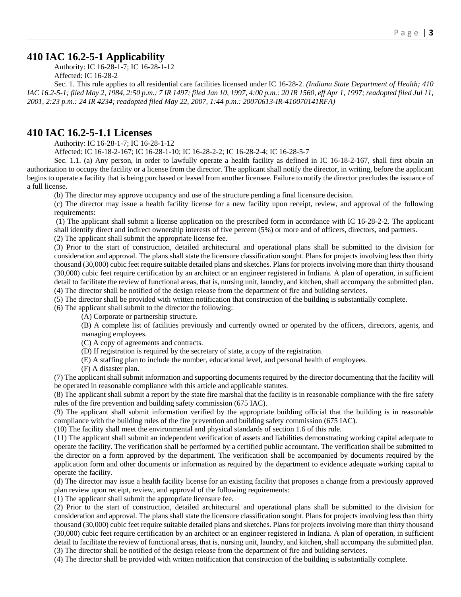#### **410 IAC 16.2-5-1 Applicability**

Authority: IC 16-28-1-7; IC 16-28-1-12 Affected: IC 16-28-2

Sec. 1. This rule applies to all residential care facilities licensed under IC 16-28-2. *(Indiana State Department of Health; 410 IAC 16.2-5-1; filed May 2, 1984, 2:50 p.m.: 7 IR 1497; filed Jan 10, 1997, 4:00 p.m.: 20 IR 1560, eff Apr 1, 1997; readopted filed Jul 11, 2001, 2:23 p.m.: 24 IR 4234; readopted filed May 22, 2007, 1:44 p.m.: 20070613-IR-410070141RFA)* 

#### **410 IAC 16.2-5-1.1 Licenses**

Authority: IC 16-28-1-7; IC 16-28-1-12

Affected: IC 16-18-2-167; IC 16-28-1-10; IC 16-28-2-2; IC 16-28-2-4; IC 16-28-5-7

Sec. 1.1. (a) Any person, in order to lawfully operate a health facility as defined in IC 16-18-2-167, shall first obtain an authorization to occupy the facility or a license from the director. The applicant shall notify the director, in writing, before the applicant begins to operate a facility that is being purchased or leased from another licensee. Failure to notify the director precludes the issuance of a full license.

(b) The director may approve occupancy and use of the structure pending a final licensure decision.

(c) The director may issue a health facility license for a new facility upon receipt, review, and approval of the following requirements:

 (1) The applicant shall submit a license application on the prescribed form in accordance with IC 16-28-2-2. The applicant shall identify direct and indirect ownership interests of five percent (5%) or more and of officers, directors, and partners.

(2) The applicant shall submit the appropriate license fee.

(3) Prior to the start of construction, detailed architectural and operational plans shall be submitted to the division for consideration and approval. The plans shall state the licensure classification sought. Plans for projects involving less than thirty thousand (30,000) cubic feet require suitable detailed plans and sketches. Plans for projects involving more than thirty thousand (30,000) cubic feet require certification by an architect or an engineer registered in Indiana. A plan of operation, in sufficient detail to facilitate the review of functional areas, that is, nursing unit, laundry, and kitchen, shall accompany the submitted plan. (4) The director shall be notified of the design release from the department of fire and building services.

(5) The director shall be provided with written notification that construction of the building is substantially complete.

(6) The applicant shall submit to the director the following:

(A) Corporate or partnership structure.

(B) A complete list of facilities previously and currently owned or operated by the officers, directors, agents, and managing employees.

(C) A copy of agreements and contracts.

(D) If registration is required by the secretary of state, a copy of the registration.

(E) A staffing plan to include the number, educational level, and personal health of employees.

(F) A disaster plan.

(7) The applicant shall submit information and supporting documents required by the director documenting that the facility will be operated in reasonable compliance with this article and applicable statutes.

(8) The applicant shall submit a report by the state fire marshal that the facility is in reasonable compliance with the fire safety rules of the fire prevention and building safety commission (675 IAC).

(9) The applicant shall submit information verified by the appropriate building official that the building is in reasonable compliance with the building rules of the fire prevention and building safety commission (675 IAC).

(10) The facility shall meet the environmental and physical standards of section 1.6 of this rule.

(11) The applicant shall submit an independent verification of assets and liabilities demonstrating working capital adequate to operate the facility. The verification shall be performed by a certified public accountant. The verification shall be submitted to the director on a form approved by the department. The verification shall be accompanied by documents required by the application form and other documents or information as required by the department to evidence adequate working capital to operate the facility.

(d) The director may issue a health facility license for an existing facility that proposes a change from a previously approved plan review upon receipt, review, and approval of the following requirements:

(1) The applicant shall submit the appropriate licensure fee.

(2) Prior to the start of construction, detailed architectural and operational plans shall be submitted to the division for consideration and approval. The plans shall state the licensure classification sought. Plans for projects involving less than thirty thousand (30,000) cubic feet require suitable detailed plans and sketches. Plans for projects involving more than thirty thousand (30,000) cubic feet require certification by an architect or an engineer registered in Indiana. A plan of operation, in sufficient detail to facilitate the review of functional areas, that is, nursing unit, laundry, and kitchen, shall accompany the submitted plan. (3) The director shall be notified of the design release from the department of fire and building services.

(4) The director shall be provided with written notification that construction of the building is substantially complete.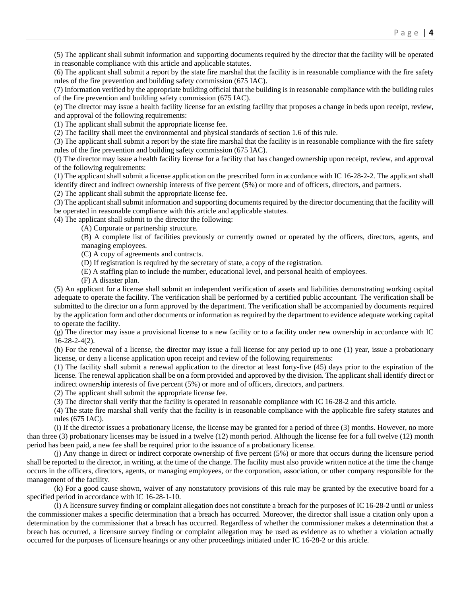(5) The applicant shall submit information and supporting documents required by the director that the facility will be operated in reasonable compliance with this article and applicable statutes.

(6) The applicant shall submit a report by the state fire marshal that the facility is in reasonable compliance with the fire safety rules of the fire prevention and building safety commission (675 IAC).

(7) Information verified by the appropriate building official that the building is in reasonable compliance with the building rules of the fire prevention and building safety commission (675 IAC).

(e) The director may issue a health facility license for an existing facility that proposes a change in beds upon receipt, review, and approval of the following requirements:

(1) The applicant shall submit the appropriate license fee.

(2) The facility shall meet the environmental and physical standards of section 1.6 of this rule.

(3) The applicant shall submit a report by the state fire marshal that the facility is in reasonable compliance with the fire safety rules of the fire prevention and building safety commission (675 IAC).

(f) The director may issue a health facility license for a facility that has changed ownership upon receipt, review, and approval of the following requirements:

(1) The applicant shall submit a license application on the prescribed form in accordance with IC 16-28-2-2. The applicant shall identify direct and indirect ownership interests of five percent (5%) or more and of officers, directors, and partners.

(2) The applicant shall submit the appropriate license fee.

(3) The applicant shall submit information and supporting documents required by the director documenting that the facility will be operated in reasonable compliance with this article and applicable statutes.

(4) The applicant shall submit to the director the following:

(A) Corporate or partnership structure.

(B) A complete list of facilities previously or currently owned or operated by the officers, directors, agents, and managing employees.

(C) A copy of agreements and contracts.

(D) If registration is required by the secretary of state, a copy of the registration.

(E) A staffing plan to include the number, educational level, and personal health of employees.

(F) A disaster plan.

(5) An applicant for a license shall submit an independent verification of assets and liabilities demonstrating working capital adequate to operate the facility. The verification shall be performed by a certified public accountant. The verification shall be submitted to the director on a form approved by the department. The verification shall be accompanied by documents required by the application form and other documents or information as required by the department to evidence adequate working capital to operate the facility.

(g) The director may issue a provisional license to a new facility or to a facility under new ownership in accordance with IC 16-28-2-4(2).

(h) For the renewal of a license, the director may issue a full license for any period up to one (1) year, issue a probationary license, or deny a license application upon receipt and review of the following requirements:

(1) The facility shall submit a renewal application to the director at least forty-five (45) days prior to the expiration of the license. The renewal application shall be on a form provided and approved by the division. The applicant shall identify direct or indirect ownership interests of five percent (5%) or more and of officers, directors, and partners.

(2) The applicant shall submit the appropriate license fee.

(3) The director shall verify that the facility is operated in reasonable compliance with IC 16-28-2 and this article.

(4) The state fire marshal shall verify that the facility is in reasonable compliance with the applicable fire safety statutes and rules (675 IAC).

(i) If the director issues a probationary license, the license may be granted for a period of three (3) months. However, no more than three (3) probationary licenses may be issued in a twelve (12) month period. Although the license fee for a full twelve (12) month period has been paid, a new fee shall be required prior to the issuance of a probationary license.

(j) Any change in direct or indirect corporate ownership of five percent (5%) or more that occurs during the licensure period shall be reported to the director, in writing, at the time of the change. The facility must also provide written notice at the time the change occurs in the officers, directors, agents, or managing employees, or the corporation, association, or other company responsible for the management of the facility.

(k) For a good cause shown, waiver of any nonstatutory provisions of this rule may be granted by the executive board for a specified period in accordance with IC 16-28-1-10.

(l) A licensure survey finding or complaint allegation does not constitute a breach for the purposes of IC 16-28-2 until or unless the commissioner makes a specific determination that a breach has occurred. Moreover, the director shall issue a citation only upon a determination by the commissioner that a breach has occurred. Regardless of whether the commissioner makes a determination that a breach has occurred, a licensure survey finding or complaint allegation may be used as evidence as to whether a violation actually occurred for the purposes of licensure hearings or any other proceedings initiated under IC 16-28-2 or this article.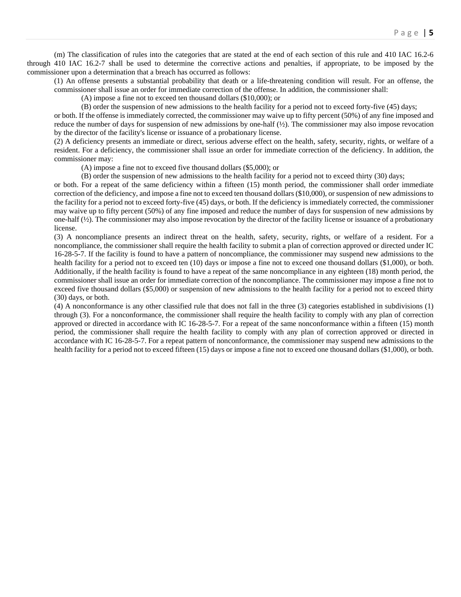(m) The classification of rules into the categories that are stated at the end of each section of this rule and 410 IAC 16.2-6 through 410 IAC 16.2-7 shall be used to determine the corrective actions and penalties, if appropriate, to be imposed by the commissioner upon a determination that a breach has occurred as follows:

(1) An offense presents a substantial probability that death or a life-threatening condition will result. For an offense, the commissioner shall issue an order for immediate correction of the offense. In addition, the commissioner shall:

(A) impose a fine not to exceed ten thousand dollars (\$10,000); or

(B) order the suspension of new admissions to the health facility for a period not to exceed forty-five (45) days;

or both. If the offense is immediately corrected, the commissioner may waive up to fifty percent (50%) of any fine imposed and reduce the number of days for suspension of new admissions by one-half (½). The commissioner may also impose revocation by the director of the facility's license or issuance of a probationary license.

(2) A deficiency presents an immediate or direct, serious adverse effect on the health, safety, security, rights, or welfare of a resident. For a deficiency, the commissioner shall issue an order for immediate correction of the deficiency. In addition, the commissioner may:

(A) impose a fine not to exceed five thousand dollars (\$5,000); or

(B) order the suspension of new admissions to the health facility for a period not to exceed thirty (30) days;

or both. For a repeat of the same deficiency within a fifteen (15) month period, the commissioner shall order immediate correction of the deficiency, and impose a fine not to exceed ten thousand dollars (\$10,000), or suspension of new admissions to the facility for a period not to exceed forty-five (45) days, or both. If the deficiency is immediately corrected, the commissioner may waive up to fifty percent (50%) of any fine imposed and reduce the number of days for suspension of new admissions by one-half (½). The commissioner may also impose revocation by the director of the facility license or issuance of a probationary license.

(3) A noncompliance presents an indirect threat on the health, safety, security, rights, or welfare of a resident. For a noncompliance, the commissioner shall require the health facility to submit a plan of correction approved or directed under IC 16-28-5-7. If the facility is found to have a pattern of noncompliance, the commissioner may suspend new admissions to the health facility for a period not to exceed ten (10) days or impose a fine not to exceed one thousand dollars (\$1,000), or both. Additionally, if the health facility is found to have a repeat of the same noncompliance in any eighteen (18) month period, the commissioner shall issue an order for immediate correction of the noncompliance. The commissioner may impose a fine not to exceed five thousand dollars (\$5,000) or suspension of new admissions to the health facility for a period not to exceed thirty (30) days, or both.

(4) A nonconformance is any other classified rule that does not fall in the three (3) categories established in subdivisions (1) through (3). For a nonconformance, the commissioner shall require the health facility to comply with any plan of correction approved or directed in accordance with IC 16-28-5-7. For a repeat of the same nonconformance within a fifteen (15) month period, the commissioner shall require the health facility to comply with any plan of correction approved or directed in accordance with IC 16-28-5-7. For a repeat pattern of nonconformance, the commissioner may suspend new admissions to the health facility for a period not to exceed fifteen (15) days or impose a fine not to exceed one thousand dollars (\$1,000), or both.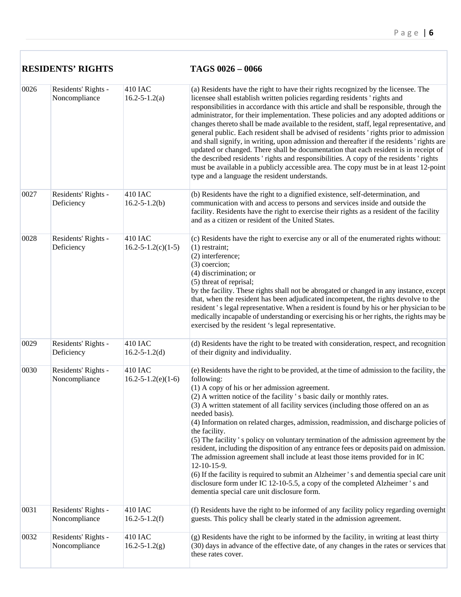|      | <b>RESIDENTS' RIGHTS</b>             |                                       | TAGS 0026 - 0066                                                                                                                                                                                                                                                                                                                                                                                                                                                                                                                                                                                                                                                                                                                                                                                                                                                                                                                                                    |  |
|------|--------------------------------------|---------------------------------------|---------------------------------------------------------------------------------------------------------------------------------------------------------------------------------------------------------------------------------------------------------------------------------------------------------------------------------------------------------------------------------------------------------------------------------------------------------------------------------------------------------------------------------------------------------------------------------------------------------------------------------------------------------------------------------------------------------------------------------------------------------------------------------------------------------------------------------------------------------------------------------------------------------------------------------------------------------------------|--|
| 0026 | Residents' Rights -<br>Noncompliance | 410 IAC<br>$16.2 - 5 - 1.2(a)$        | (a) Residents have the right to have their rights recognized by the licensee. The<br>licensee shall establish written policies regarding residents 'rights and<br>responsibilities in accordance with this article and shall be responsible, through the<br>administrator, for their implementation. These policies and any adopted additions or<br>changes thereto shall be made available to the resident, staff, legal representative, and<br>general public. Each resident shall be advised of residents 'rights prior to admission<br>and shall signify, in writing, upon admission and thereafter if the residents 'rights are<br>updated or changed. There shall be documentation that each resident is in receipt of<br>the described residents 'rights and responsibilities. A copy of the residents 'rights<br>must be available in a publicly accessible area. The copy must be in at least 12-point<br>type and a language the resident understands.    |  |
| 0027 | Residents' Rights -<br>Deficiency    | 410 IAC<br>$16.2 - 5 - 1.2(b)$        | (b) Residents have the right to a dignified existence, self-determination, and<br>communication with and access to persons and services inside and outside the<br>facility. Residents have the right to exercise their rights as a resident of the facility<br>and as a citizen or resident of the United States.                                                                                                                                                                                                                                                                                                                                                                                                                                                                                                                                                                                                                                                   |  |
| 0028 | Residents' Rights -<br>Deficiency    | 410 IAC<br>$16.2 - 5 - 1.2(c)(1-5)$   | (c) Residents have the right to exercise any or all of the enumerated rights without:<br>$(1)$ restraint;<br>(2) interference;<br>$(3)$ coercion;<br>(4) discrimination; or<br>(5) threat of reprisal;<br>by the facility. These rights shall not be abrogated or changed in any instance, except<br>that, when the resident has been adjudicated incompetent, the rights devolve to the<br>resident's legal representative. When a resident is found by his or her physician to be<br>medically incapable of understanding or exercising his or her rights, the rights may be<br>exercised by the resident 's legal representative.                                                                                                                                                                                                                                                                                                                                |  |
| 0029 | Residents' Rights -<br>Deficiency    | 410 IAC<br>$16.2 - 5 - 1.2(d)$        | (d) Residents have the right to be treated with consideration, respect, and recognition<br>of their dignity and individuality.                                                                                                                                                                                                                                                                                                                                                                                                                                                                                                                                                                                                                                                                                                                                                                                                                                      |  |
| 0030 | Residents' Rights -<br>Noncompliance | 410 IAC<br>$16.2 - 5 - 1.2(e)(1 - 6)$ | (e) Residents have the right to be provided, at the time of admission to the facility, the<br>following:<br>(1) A copy of his or her admission agreement.<br>(2) A written notice of the facility 's basic daily or monthly rates.<br>(3) A written statement of all facility services (including those offered on an as<br>needed basis).<br>(4) Information on related charges, admission, readmission, and discharge policies of<br>the facility.<br>(5) The facility 's policy on voluntary termination of the admission agreement by the<br>resident, including the disposition of any entrance fees or deposits paid on admission.<br>The admission agreement shall include at least those items provided for in IC<br>12-10-15-9.<br>(6) If the facility is required to submit an Alzheimer 's and dementia special care unit<br>disclosure form under IC 12-10-5.5, a copy of the completed Alzheimer 's and<br>dementia special care unit disclosure form. |  |
| 0031 | Residents' Rights -<br>Noncompliance | 410 IAC<br>$16.2 - 5 - 1.2(f)$        | (f) Residents have the right to be informed of any facility policy regarding overnight<br>guests. This policy shall be clearly stated in the admission agreement.                                                                                                                                                                                                                                                                                                                                                                                                                                                                                                                                                                                                                                                                                                                                                                                                   |  |
| 0032 | Residents' Rights -<br>Noncompliance | 410 IAC<br>$16.2 - 5 - 1.2(g)$        | (g) Residents have the right to be informed by the facility, in writing at least thirty<br>(30) days in advance of the effective date, of any changes in the rates or services that<br>these rates cover.                                                                                                                                                                                                                                                                                                                                                                                                                                                                                                                                                                                                                                                                                                                                                           |  |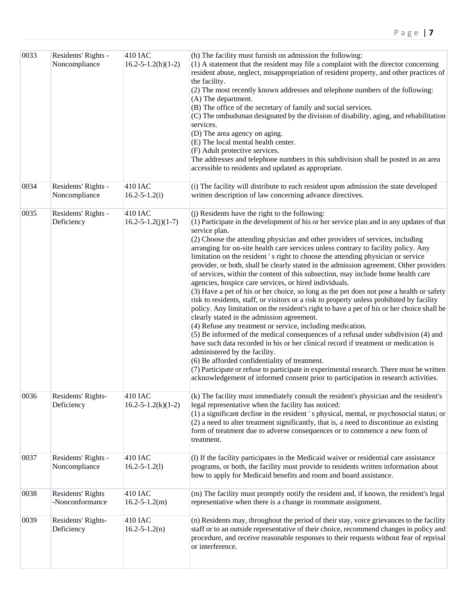| 0033 | Residents' Rights -<br>Noncompliance | <b>410 IAC</b><br>$16.2 - 5 - 1.2(h)(1-2)$   | (h) The facility must furnish on admission the following:<br>(1) A statement that the resident may file a complaint with the director concerning<br>resident abuse, neglect, misappropriation of resident property, and other practices of<br>the facility.<br>(2) The most recently known addresses and telephone numbers of the following:<br>(A) The department.<br>(B) The office of the secretary of family and social services.<br>(C) The ombudsman designated by the division of disability, aging, and rehabilitation<br>services.<br>(D) The area agency on aging.<br>(E) The local mental health center.<br>(F) Adult protective services.<br>The addresses and telephone numbers in this subdivision shall be posted in an area<br>accessible to residents and updated as appropriate.                                                                                                                                                                                                                                                                                                                                                                                                                                                                                                                                                                                                                                                                                                                 |
|------|--------------------------------------|----------------------------------------------|--------------------------------------------------------------------------------------------------------------------------------------------------------------------------------------------------------------------------------------------------------------------------------------------------------------------------------------------------------------------------------------------------------------------------------------------------------------------------------------------------------------------------------------------------------------------------------------------------------------------------------------------------------------------------------------------------------------------------------------------------------------------------------------------------------------------------------------------------------------------------------------------------------------------------------------------------------------------------------------------------------------------------------------------------------------------------------------------------------------------------------------------------------------------------------------------------------------------------------------------------------------------------------------------------------------------------------------------------------------------------------------------------------------------------------------------------------------------------------------------------------------------|
| 0034 | Residents' Rights -<br>Noncompliance | 410 IAC<br>$16.2 - 5 - 1.2(i)$               | (i) The facility will distribute to each resident upon admission the state developed<br>written description of law concerning advance directives.                                                                                                                                                                                                                                                                                                                                                                                                                                                                                                                                                                                                                                                                                                                                                                                                                                                                                                                                                                                                                                                                                                                                                                                                                                                                                                                                                                  |
| 0035 | Residents' Rights -<br>Deficiency    | 410 IAC<br>$16.2 - 5 - 1.2(j)(1 - 7)$        | (j) Residents have the right to the following:<br>(1) Participate in the development of his or her service plan and in any updates of that<br>service plan.<br>(2) Choose the attending physician and other providers of services, including<br>arranging for on-site health care services unless contrary to facility policy. Any<br>limitation on the resident 's right to choose the attending physician or service<br>provider, or both, shall be clearly stated in the admission agreement. Other providers<br>of services, within the content of this subsection, may include home health care<br>agencies, hospice care services, or hired individuals.<br>(3) Have a pet of his or her choice, so long as the pet does not pose a health or safety<br>risk to residents, staff, or visitors or a risk to property unless prohibited by facility<br>policy. Any limitation on the resident's right to have a pet of his or her choice shall be<br>clearly stated in the admission agreement.<br>(4) Refuse any treatment or service, including medication.<br>(5) Be informed of the medical consequences of a refusal under subdivision (4) and<br>have such data recorded in his or her clinical record if treatment or medication is<br>administered by the facility.<br>(6) Be afforded confidentiality of treatment.<br>(7) Participate or refuse to participate in experimental research. There must be written<br>acknowledgement of informed consent prior to participation in research activities. |
| 0036 | Residents' Rights-<br>Deficiency     | <b>410 IAC</b><br>$16.2 - 5 - 1.2(k)(1 - 2)$ | (k) The facility must immediately consult the resident's physician and the resident's<br>legal representative when the facility has noticed:<br>(1) a significant decline in the resident 's physical, mental, or psychosocial status; or<br>(2) a need to alter treatment significantly, that is, a need to discontinue an existing<br>form of treatment due to adverse consequences or to commence a new form of<br>treatment.                                                                                                                                                                                                                                                                                                                                                                                                                                                                                                                                                                                                                                                                                                                                                                                                                                                                                                                                                                                                                                                                                   |
| 0037 | Residents' Rights -<br>Noncompliance | 410 IAC<br>$16.2 - 5 - 1.2(1)$               | (I) If the facility participates in the Medicaid waiver or residential care assistance<br>programs, or both, the facility must provide to residents written information about<br>how to apply for Medicaid benefits and room and board assistance.                                                                                                                                                                                                                                                                                                                                                                                                                                                                                                                                                                                                                                                                                                                                                                                                                                                                                                                                                                                                                                                                                                                                                                                                                                                                 |
| 0038 | Residents' Rights<br>-Nonconformance | <b>410 IAC</b><br>$16.2 - 5 - 1.2(m)$        | (m) The facility must promptly notify the resident and, if known, the resident's legal<br>representative when there is a change in roommate assignment.                                                                                                                                                                                                                                                                                                                                                                                                                                                                                                                                                                                                                                                                                                                                                                                                                                                                                                                                                                                                                                                                                                                                                                                                                                                                                                                                                            |
| 0039 | Residents' Rights-<br>Deficiency     | <b>410 IAC</b><br>$16.2 - 5 - 1.2(n)$        | (n) Residents may, throughout the period of their stay, voice grievances to the facility<br>staff or to an outside representative of their choice, recommend changes in policy and<br>procedure, and receive reasonable responses to their requests without fear of reprisal<br>or interference.                                                                                                                                                                                                                                                                                                                                                                                                                                                                                                                                                                                                                                                                                                                                                                                                                                                                                                                                                                                                                                                                                                                                                                                                                   |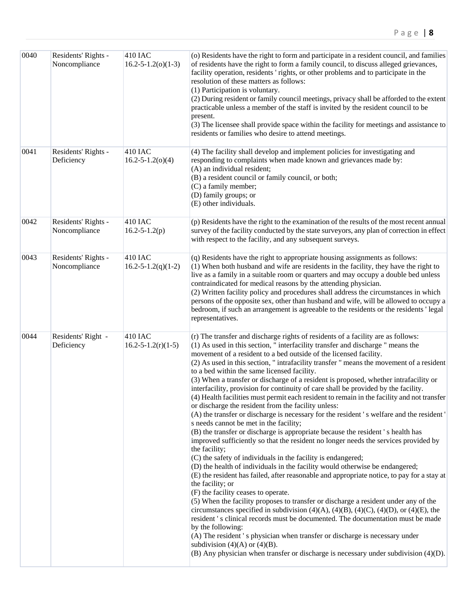| 0040 | Residents' Rights -<br>Noncompliance | 410 IAC<br>$16.2 - 5 - 1.2(0)(1 - 3)$ | (o) Residents have the right to form and participate in a resident council, and families<br>of residents have the right to form a family council, to discuss alleged grievances,<br>facility operation, residents 'rights, or other problems and to participate in the<br>resolution of these matters as follows:<br>(1) Participation is voluntary.<br>(2) During resident or family council meetings, privacy shall be afforded to the extent<br>practicable unless a member of the staff is invited by the resident council to be<br>present.<br>(3) The licensee shall provide space within the facility for meetings and assistance to<br>residents or families who desire to attend meetings.                                                                                                                                                                                                                                                                                                                                                                                                                                                                                                                                                                                                                                                                                                                                                                                                                                                                                                                                                                                                                                                                                                                                                                             |
|------|--------------------------------------|---------------------------------------|---------------------------------------------------------------------------------------------------------------------------------------------------------------------------------------------------------------------------------------------------------------------------------------------------------------------------------------------------------------------------------------------------------------------------------------------------------------------------------------------------------------------------------------------------------------------------------------------------------------------------------------------------------------------------------------------------------------------------------------------------------------------------------------------------------------------------------------------------------------------------------------------------------------------------------------------------------------------------------------------------------------------------------------------------------------------------------------------------------------------------------------------------------------------------------------------------------------------------------------------------------------------------------------------------------------------------------------------------------------------------------------------------------------------------------------------------------------------------------------------------------------------------------------------------------------------------------------------------------------------------------------------------------------------------------------------------------------------------------------------------------------------------------------------------------------------------------------------------------------------------------|
| 0041 | Residents' Rights -<br>Deficiency    | 410 IAC<br>$16.2 - 5 - 1.2(0)(4)$     | (4) The facility shall develop and implement policies for investigating and<br>responding to complaints when made known and grievances made by:<br>(A) an individual resident;<br>(B) a resident council or family council, or both;<br>(C) a family member;<br>(D) family groups; or<br>(E) other individuals.                                                                                                                                                                                                                                                                                                                                                                                                                                                                                                                                                                                                                                                                                                                                                                                                                                                                                                                                                                                                                                                                                                                                                                                                                                                                                                                                                                                                                                                                                                                                                                 |
| 0042 | Residents' Rights -<br>Noncompliance | 410 IAC<br>$16.2 - 5 - 1.2(p)$        | (p) Residents have the right to the examination of the results of the most recent annual<br>survey of the facility conducted by the state surveyors, any plan of correction in effect<br>with respect to the facility, and any subsequent surveys.                                                                                                                                                                                                                                                                                                                                                                                                                                                                                                                                                                                                                                                                                                                                                                                                                                                                                                                                                                                                                                                                                                                                                                                                                                                                                                                                                                                                                                                                                                                                                                                                                              |
| 0043 | Residents' Rights -<br>Noncompliance | 410 IAC<br>$16.2 - 5 - 1.2(q)(1 - 2)$ | (q) Residents have the right to appropriate housing assignments as follows:<br>(1) When both husband and wife are residents in the facility, they have the right to<br>live as a family in a suitable room or quarters and may occupy a double bed unless<br>contraindicated for medical reasons by the attending physician.<br>(2) Written facility policy and procedures shall address the circumstances in which<br>persons of the opposite sex, other than husband and wife, will be allowed to occupy a<br>bedroom, if such an arrangement is agreeable to the residents or the residents 'legal<br>representatives.                                                                                                                                                                                                                                                                                                                                                                                                                                                                                                                                                                                                                                                                                                                                                                                                                                                                                                                                                                                                                                                                                                                                                                                                                                                       |
| 0044 | Residents' Right -<br>Deficiency     | 410 IAC<br>$16.2 - 5 - 1.2(r)(1-5)$   | (r) The transfer and discharge rights of residents of a facility are as follows:<br>(1) As used in this section, "interfacility transfer and discharge " means the<br>movement of a resident to a bed outside of the licensed facility.<br>(2) As used in this section, "intrafacility transfer " means the movement of a resident<br>to a bed within the same licensed facility.<br>(3) When a transfer or discharge of a resident is proposed, whether intrafacility or<br>interfacility, provision for continuity of care shall be provided by the facility.<br>(4) Health facilities must permit each resident to remain in the facility and not transfer<br>or discharge the resident from the facility unless:<br>(A) the transfer or discharge is necessary for the resident's welfare and the resident'<br>s needs cannot be met in the facility;<br>(B) the transfer or discharge is appropriate because the resident's health has<br>improved sufficiently so that the resident no longer needs the services provided by<br>the facility;<br>(C) the safety of individuals in the facility is endangered;<br>(D) the health of individuals in the facility would otherwise be endangered;<br>(E) the resident has failed, after reasonable and appropriate notice, to pay for a stay at<br>the facility; or<br>(F) the facility ceases to operate.<br>(5) When the facility proposes to transfer or discharge a resident under any of the<br>circumstances specified in subdivision $(4)(A)$ , $(4)(B)$ , $(4)(C)$ , $(4)(D)$ , or $(4)(E)$ , the<br>resident 's clinical records must be documented. The documentation must be made<br>by the following:<br>(A) The resident 's physician when transfer or discharge is necessary under<br>subdivision $(4)(A)$ or $(4)(B)$ .<br>(B) Any physician when transfer or discharge is necessary under subdivision (4)(D). |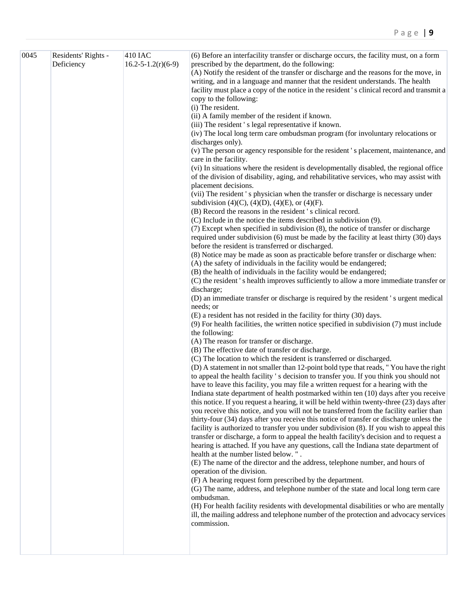| 0045 | Residents' Rights -<br>Deficiency | 410 IAC<br>$16.2 - 5 - 1.2(r)(6 - 9)$ | (6) Before an interfacility transfer or discharge occurs, the facility must, on a form<br>prescribed by the department, do the following:                                       |
|------|-----------------------------------|---------------------------------------|---------------------------------------------------------------------------------------------------------------------------------------------------------------------------------|
|      |                                   |                                       | (A) Notify the resident of the transfer or discharge and the reasons for the move, in                                                                                           |
|      |                                   |                                       | writing, and in a language and manner that the resident understands. The health                                                                                                 |
|      |                                   |                                       | facility must place a copy of the notice in the resident's clinical record and transmit a                                                                                       |
|      |                                   |                                       | copy to the following:                                                                                                                                                          |
|      |                                   |                                       | (i) The resident.                                                                                                                                                               |
|      |                                   |                                       | (ii) A family member of the resident if known.                                                                                                                                  |
|      |                                   |                                       | (iii) The resident 's legal representative if known.                                                                                                                            |
|      |                                   |                                       | (iv) The local long term care ombudsman program (for involuntary relocations or                                                                                                 |
|      |                                   |                                       | discharges only).                                                                                                                                                               |
|      |                                   |                                       | (v) The person or agency responsible for the resident's placement, maintenance, and<br>care in the facility.                                                                    |
|      |                                   |                                       | (vi) In situations where the resident is developmentally disabled, the regional office                                                                                          |
|      |                                   |                                       | of the division of disability, aging, and rehabilitative services, who may assist with                                                                                          |
|      |                                   |                                       | placement decisions.                                                                                                                                                            |
|      |                                   |                                       | (vii) The resident's physician when the transfer or discharge is necessary under                                                                                                |
|      |                                   |                                       | subdivision (4)(C), (4)(D), (4)(E), or (4)(F).                                                                                                                                  |
|      |                                   |                                       | (B) Record the reasons in the resident 's clinical record.                                                                                                                      |
|      |                                   |                                       | (C) Include in the notice the items described in subdivision (9).                                                                                                               |
|      |                                   |                                       | (7) Except when specified in subdivision (8), the notice of transfer or discharge                                                                                               |
|      |                                   |                                       | required under subdivision (6) must be made by the facility at least thirty (30) days                                                                                           |
|      |                                   |                                       | before the resident is transferred or discharged.                                                                                                                               |
|      |                                   |                                       | (8) Notice may be made as soon as practicable before transfer or discharge when:                                                                                                |
|      |                                   |                                       | (A) the safety of individuals in the facility would be endangered;                                                                                                              |
|      |                                   |                                       | (B) the health of individuals in the facility would be endangered;                                                                                                              |
|      |                                   |                                       | (C) the resident's health improves sufficiently to allow a more immediate transfer or<br>discharge;                                                                             |
|      |                                   |                                       | (D) an immediate transfer or discharge is required by the resident 's urgent medical                                                                                            |
|      |                                   |                                       | needs; or                                                                                                                                                                       |
|      |                                   |                                       | (E) a resident has not resided in the facility for thirty (30) days.                                                                                                            |
|      |                                   |                                       | $(9)$ For health facilities, the written notice specified in subdivision $(7)$ must include                                                                                     |
|      |                                   |                                       | the following:                                                                                                                                                                  |
|      |                                   |                                       | (A) The reason for transfer or discharge.                                                                                                                                       |
|      |                                   |                                       | (B) The effective date of transfer or discharge.                                                                                                                                |
|      |                                   |                                       | (C) The location to which the resident is transferred or discharged.                                                                                                            |
|      |                                   |                                       | (D) A statement in not smaller than 12-point bold type that reads, "You have the right                                                                                          |
|      |                                   |                                       | to appeal the health facility 's decision to transfer you. If you think you should not                                                                                          |
|      |                                   |                                       | have to leave this facility, you may file a written request for a hearing with the                                                                                              |
|      |                                   |                                       | Indiana state department of health postmarked within ten (10) days after you receive                                                                                            |
|      |                                   |                                       | this notice. If you request a hearing, it will be held within twenty-three (23) days after                                                                                      |
|      |                                   |                                       | you receive this notice, and you will not be transferred from the facility earlier than                                                                                         |
|      |                                   |                                       | thirty-four (34) days after you receive this notice of transfer or discharge unless the                                                                                         |
|      |                                   |                                       | facility is authorized to transfer you under subdivision (8). If you wish to appeal this                                                                                        |
|      |                                   |                                       | transfer or discharge, a form to appeal the health facility's decision and to request a<br>hearing is attached. If you have any questions, call the Indiana state department of |
|      |                                   |                                       | health at the number listed below.".                                                                                                                                            |
|      |                                   |                                       | (E) The name of the director and the address, telephone number, and hours of                                                                                                    |
|      |                                   |                                       | operation of the division.                                                                                                                                                      |
|      |                                   |                                       | (F) A hearing request form prescribed by the department.                                                                                                                        |
|      |                                   |                                       | (G) The name, address, and telephone number of the state and local long term care                                                                                               |
|      |                                   |                                       | ombudsman.                                                                                                                                                                      |
|      |                                   |                                       | (H) For health facility residents with developmental disabilities or who are mentally                                                                                           |
|      |                                   |                                       | ill, the mailing address and telephone number of the protection and advocacy services                                                                                           |
|      |                                   |                                       | commission.                                                                                                                                                                     |
|      |                                   |                                       |                                                                                                                                                                                 |
|      |                                   |                                       |                                                                                                                                                                                 |
|      |                                   |                                       |                                                                                                                                                                                 |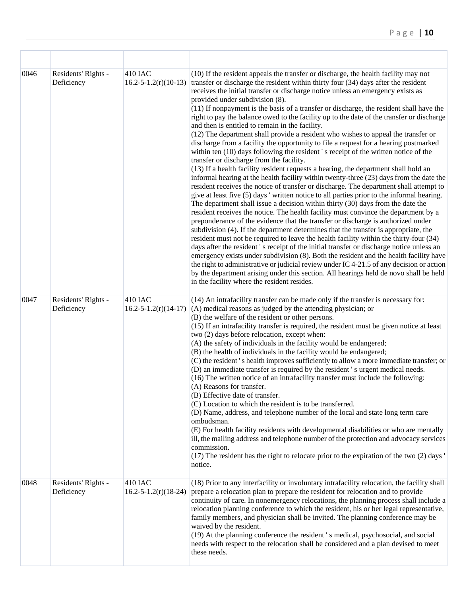| 0046 | Residents' Rights -<br>Deficiency | <b>410 IAC</b>                          | (10) If the resident appeals the transfer or discharge, the health facility may not<br>$16.2 - 5 - 1.2(r)(10 - 13)$ transfer or discharge the resident within thirty four (34) days after the resident<br>receives the initial transfer or discharge notice unless an emergency exists as<br>provided under subdivision (8).<br>(11) If nonpayment is the basis of a transfer or discharge, the resident shall have the<br>right to pay the balance owed to the facility up to the date of the transfer or discharge<br>and then is entitled to remain in the facility.<br>(12) The department shall provide a resident who wishes to appeal the transfer or<br>discharge from a facility the opportunity to file a request for a hearing postmarked<br>within ten (10) days following the resident 's receipt of the written notice of the<br>transfer or discharge from the facility.<br>(13) If a health facility resident requests a hearing, the department shall hold an<br>informal hearing at the health facility within twenty-three (23) days from the date the<br>resident receives the notice of transfer or discharge. The department shall attempt to<br>give at least five (5) days ' written notice to all parties prior to the informal hearing.<br>The department shall issue a decision within thirty (30) days from the date the<br>resident receives the notice. The health facility must convince the department by a<br>preponderance of the evidence that the transfer or discharge is authorized under<br>subdivision (4). If the department determines that the transfer is appropriate, the<br>resident must not be required to leave the health facility within the thirty-four (34)<br>days after the resident's receipt of the initial transfer or discharge notice unless an<br>emergency exists under subdivision (8). Both the resident and the health facility have<br>the right to administrative or judicial review under IC 4-21.5 of any decision or action<br>by the department arising under this section. All hearings held de novo shall be held<br>in the facility where the resident resides. |
|------|-----------------------------------|-----------------------------------------|-------------------------------------------------------------------------------------------------------------------------------------------------------------------------------------------------------------------------------------------------------------------------------------------------------------------------------------------------------------------------------------------------------------------------------------------------------------------------------------------------------------------------------------------------------------------------------------------------------------------------------------------------------------------------------------------------------------------------------------------------------------------------------------------------------------------------------------------------------------------------------------------------------------------------------------------------------------------------------------------------------------------------------------------------------------------------------------------------------------------------------------------------------------------------------------------------------------------------------------------------------------------------------------------------------------------------------------------------------------------------------------------------------------------------------------------------------------------------------------------------------------------------------------------------------------------------------------------------------------------------------------------------------------------------------------------------------------------------------------------------------------------------------------------------------------------------------------------------------------------------------------------------------------------------------------------------------------------------------------------------------------------------------------------------------------------------------------------------------------------------------------------|
| 0047 | Residents' Rights -<br>Deficiency | 410 IAC<br>$16.2 - 5 - 1.2(r)(14 - 17)$ | (14) An intrafacility transfer can be made only if the transfer is necessary for:<br>$(A)$ medical reasons as judged by the attending physician; or<br>(B) the welfare of the resident or other persons.<br>(15) If an intrafacility transfer is required, the resident must be given notice at least<br>two (2) days before relocation, except when:<br>(A) the safety of individuals in the facility would be endangered;<br>(B) the health of individuals in the facility would be endangered;<br>(C) the resident's health improves sufficiently to allow a more immediate transfer; or<br>(D) an immediate transfer is required by the resident 's urgent medical needs.<br>(16) The written notice of an intrafacility transfer must include the following:<br>(A) Reasons for transfer.<br>(B) Effective date of transfer.<br>(C) Location to which the resident is to be transferred.<br>(D) Name, address, and telephone number of the local and state long term care<br>ombudsman.<br>(E) For health facility residents with developmental disabilities or who are mentally<br>ill, the mailing address and telephone number of the protection and advocacy services<br>commission.<br>(17) The resident has the right to relocate prior to the expiration of the two (2) days '<br>notice.                                                                                                                                                                                                                                                                                                                                                                                                                                                                                                                                                                                                                                                                                                                                                                                                                                     |
| 0048 | Residents' Rights -<br>Deficiency | 410 IAC<br>$16.2 - 5 - 1.2(r)(18 - 24)$ | (18) Prior to any interfacility or involuntary intrafacility relocation, the facility shall<br>prepare a relocation plan to prepare the resident for relocation and to provide<br>continuity of care. In nonemergency relocations, the planning process shall include a<br>relocation planning conference to which the resident, his or her legal representative,<br>family members, and physician shall be invited. The planning conference may be<br>waived by the resident.<br>(19) At the planning conference the resident 's medical, psychosocial, and social<br>needs with respect to the relocation shall be considered and a plan devised to meet<br>these needs.                                                                                                                                                                                                                                                                                                                                                                                                                                                                                                                                                                                                                                                                                                                                                                                                                                                                                                                                                                                                                                                                                                                                                                                                                                                                                                                                                                                                                                                                |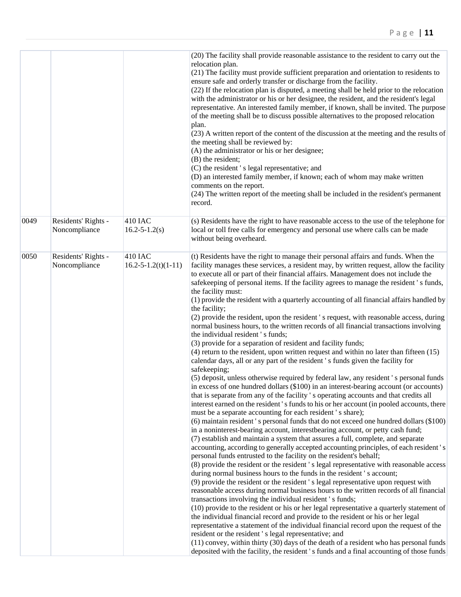|      |                                      |                                        | (20) The facility shall provide reasonable assistance to the resident to carry out the<br>relocation plan.<br>(21) The facility must provide sufficient preparation and orientation to residents to<br>ensure safe and orderly transfer or discharge from the facility.<br>(22) If the relocation plan is disputed, a meeting shall be held prior to the relocation<br>with the administrator or his or her designee, the resident, and the resident's legal<br>representative. An interested family member, if known, shall be invited. The purpose<br>of the meeting shall be to discuss possible alternatives to the proposed relocation<br>plan.<br>(23) A written report of the content of the discussion at the meeting and the results of<br>the meeting shall be reviewed by:<br>(A) the administrator or his or her designee;<br>(B) the resident;<br>(C) the resident 's legal representative; and<br>(D) an interested family member, if known; each of whom may make written<br>comments on the report.<br>(24) The written report of the meeting shall be included in the resident's permanent<br>record.                                                                                                                                                                                                                                                                                                                                                                                                                                                                                                                                                                                                                                                                                                                                                                                                                                                                                                                                                                                                                                                                                                                                                                                                                                                                                                                                                                                                                                                                                                                                                                                                                                                                     |
|------|--------------------------------------|----------------------------------------|--------------------------------------------------------------------------------------------------------------------------------------------------------------------------------------------------------------------------------------------------------------------------------------------------------------------------------------------------------------------------------------------------------------------------------------------------------------------------------------------------------------------------------------------------------------------------------------------------------------------------------------------------------------------------------------------------------------------------------------------------------------------------------------------------------------------------------------------------------------------------------------------------------------------------------------------------------------------------------------------------------------------------------------------------------------------------------------------------------------------------------------------------------------------------------------------------------------------------------------------------------------------------------------------------------------------------------------------------------------------------------------------------------------------------------------------------------------------------------------------------------------------------------------------------------------------------------------------------------------------------------------------------------------------------------------------------------------------------------------------------------------------------------------------------------------------------------------------------------------------------------------------------------------------------------------------------------------------------------------------------------------------------------------------------------------------------------------------------------------------------------------------------------------------------------------------------------------------------------------------------------------------------------------------------------------------------------------------------------------------------------------------------------------------------------------------------------------------------------------------------------------------------------------------------------------------------------------------------------------------------------------------------------------------------------------------------------------------------------------------------------------------------------------------|
| 0049 | Residents' Rights -<br>Noncompliance | 410 IAC<br>$16.2 - 5 - 1.2(s)$         | (s) Residents have the right to have reasonable access to the use of the telephone for<br>local or toll free calls for emergency and personal use where calls can be made<br>without being overheard.                                                                                                                                                                                                                                                                                                                                                                                                                                                                                                                                                                                                                                                                                                                                                                                                                                                                                                                                                                                                                                                                                                                                                                                                                                                                                                                                                                                                                                                                                                                                                                                                                                                                                                                                                                                                                                                                                                                                                                                                                                                                                                                                                                                                                                                                                                                                                                                                                                                                                                                                                                                      |
| 0050 | Residents' Rights -<br>Noncompliance | 410 IAC<br>$16.2 - 5 - 1.2(t)(1 - 11)$ | (t) Residents have the right to manage their personal affairs and funds. When the<br>facility manages these services, a resident may, by written request, allow the facility<br>to execute all or part of their financial affairs. Management does not include the<br>safekeeping of personal items. If the facility agrees to manage the resident's funds,<br>the facility must:<br>(1) provide the resident with a quarterly accounting of all financial affairs handled by<br>the facility;<br>(2) provide the resident, upon the resident's request, with reasonable access, during<br>normal business hours, to the written records of all financial transactions involving<br>the individual resident 's funds;<br>(3) provide for a separation of resident and facility funds;<br>$(4)$ return to the resident, upon written request and within no later than fifteen $(15)$<br>calendar days, all or any part of the resident's funds given the facility for<br>safekeeping;<br>(5) deposit, unless otherwise required by federal law, any resident 's personal funds<br>in excess of one hundred dollars (\$100) in an interest-bearing account (or accounts)<br>that is separate from any of the facility 's operating accounts and that credits all<br>interest earned on the resident's funds to his or her account (in pooled accounts, there<br>must be a separate accounting for each resident 's share);<br>(6) maintain resident's personal funds that do not exceed one hundred dollars (\$100)<br>in a noninterest-bearing account, interestbearing account, or petty cash fund;<br>(7) establish and maintain a system that assures a full, complete, and separate<br>accounting, according to generally accepted accounting principles, of each resident's<br>personal funds entrusted to the facility on the resident's behalf;<br>(8) provide the resident or the resident 's legal representative with reasonable access<br>during normal business hours to the funds in the resident 's account;<br>(9) provide the resident or the resident 's legal representative upon request with<br>reasonable access during normal business hours to the written records of all financial<br>transactions involving the individual resident's funds;<br>(10) provide to the resident or his or her legal representative a quarterly statement of<br>the individual financial record and provide to the resident or his or her legal<br>representative a statement of the individual financial record upon the request of the<br>resident or the resident 's legal representative; and<br>(11) convey, within thirty (30) days of the death of a resident who has personal funds<br>deposited with the facility, the resident's funds and a final accounting of those funds |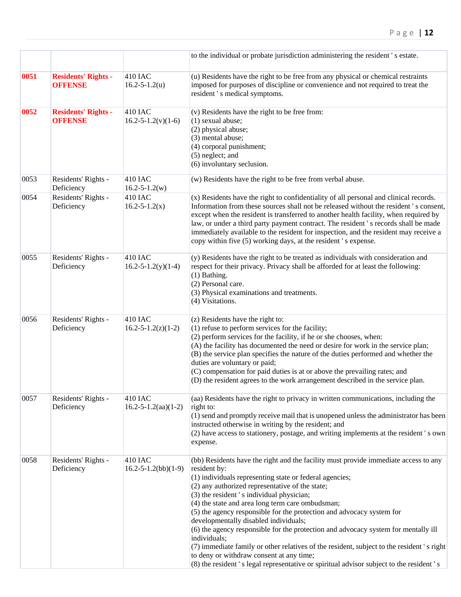|      |                                              |                                              | to the individual or probate jurisdiction administering the resident 's estate.                                                                                                                                                                                                                                                                                                                                                                                                                                                                                                                                                                                                                                                                                                 |  |
|------|----------------------------------------------|----------------------------------------------|---------------------------------------------------------------------------------------------------------------------------------------------------------------------------------------------------------------------------------------------------------------------------------------------------------------------------------------------------------------------------------------------------------------------------------------------------------------------------------------------------------------------------------------------------------------------------------------------------------------------------------------------------------------------------------------------------------------------------------------------------------------------------------|--|
| 0051 | <b>Residents' Rights -</b><br><b>OFFENSE</b> | <b>410 IAC</b><br>$16.2 - 5 - 1.2(u)$        | (u) Residents have the right to be free from any physical or chemical restraints<br>imposed for purposes of discipline or convenience and not required to treat the<br>resident 's medical symptoms.                                                                                                                                                                                                                                                                                                                                                                                                                                                                                                                                                                            |  |
| 0052 | <b>Residents' Rights -</b><br><b>OFFENSE</b> | <b>410 IAC</b><br>$16.2 - 5 - 1.2(v)(1-6)$   | (v) Residents have the right to be free from:<br>(1) sexual abuse;<br>(2) physical abuse;<br>(3) mental abuse;<br>(4) corporal punishment;<br>(5) neglect; and<br>(6) involuntary seclusion.                                                                                                                                                                                                                                                                                                                                                                                                                                                                                                                                                                                    |  |
| 0053 | Residents' Rights -<br>Deficiency            | <b>410 IAC</b><br>$16.2 - 5 - 1.2(w)$        | (w) Residents have the right to be free from verbal abuse.                                                                                                                                                                                                                                                                                                                                                                                                                                                                                                                                                                                                                                                                                                                      |  |
| 0054 | Residents' Rights -<br>Deficiency            | <b>410 IAC</b><br>$16.2 - 5 - 1.2(x)$        | (x) Residents have the right to confidentiality of all personal and clinical records.<br>Information from these sources shall not be released without the resident's consent,<br>except when the resident is transferred to another health facility, when required by<br>law, or under a third party payment contract. The resident's records shall be made<br>immediately available to the resident for inspection, and the resident may receive a<br>copy within five (5) working days, at the resident 's expense.                                                                                                                                                                                                                                                           |  |
| 0055 | Residents' Rights -<br>Deficiency            | <b>410 IAC</b><br>$16.2 - 5 - 1.2(y)(1 - 4)$ | (y) Residents have the right to be treated as individuals with consideration and<br>respect for their privacy. Privacy shall be afforded for at least the following:<br>(1) Bathing.<br>(2) Personal care.<br>(3) Physical examinations and treatments.<br>(4) Visitations.                                                                                                                                                                                                                                                                                                                                                                                                                                                                                                     |  |
| 0056 | Residents' Rights -<br>Deficiency            | <b>410 IAC</b><br>$16.2 - 5 - 1.2(z)(1 - 2)$ | (z) Residents have the right to:<br>(1) refuse to perform services for the facility;<br>(2) perform services for the facility, if he or she chooses, when:<br>(A) the facility has documented the need or desire for work in the service plan;<br>(B) the service plan specifies the nature of the duties performed and whether the<br>duties are voluntary or paid;<br>(C) compensation for paid duties is at or above the prevailing rates; and<br>(D) the resident agrees to the work arrangement described in the service plan.                                                                                                                                                                                                                                             |  |
| 0057 | Residents' Rights -<br>Deficiency            | <b>410 IAC</b><br>$16.2 - 5 - 1.2(aa)(1-2)$  | (aa) Residents have the right to privacy in written communications, including the<br>right to:<br>(1) send and promptly receive mail that is unopened unless the administrator has been<br>instructed otherwise in writing by the resident; and<br>(2) have access to stationery, postage, and writing implements at the resident 's own<br>expense.                                                                                                                                                                                                                                                                                                                                                                                                                            |  |
| 0058 | Residents' Rights -<br>Deficiency            | <b>410 IAC</b><br>$16.2 - 5 - 1.2(bb)(1-9)$  | (bb) Residents have the right and the facility must provide immediate access to any<br>resident by:<br>(1) individuals representing state or federal agencies;<br>(2) any authorized representative of the state;<br>(3) the resident 's individual physician;<br>(4) the state and area long term care ombudsman;<br>(5) the agency responsible for the protection and advocacy system for<br>developmentally disabled individuals;<br>(6) the agency responsible for the protection and advocacy system for mentally ill<br>individuals;<br>(7) immediate family or other relatives of the resident, subject to the resident 's right<br>to deny or withdraw consent at any time;<br>(8) the resident 's legal representative or spiritual advisor subject to the resident 's |  |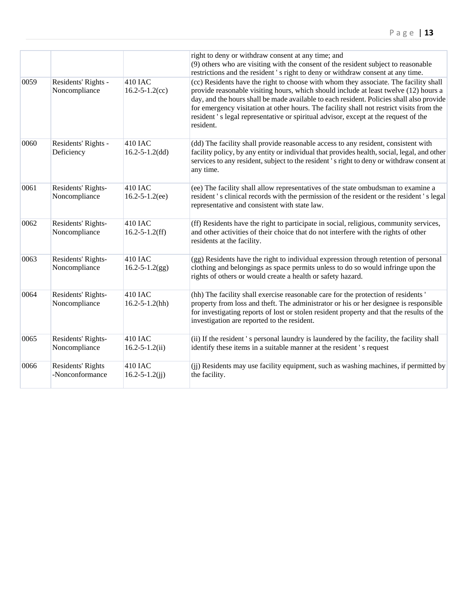|      |                                      |                                         | right to deny or withdraw consent at any time; and<br>(9) others who are visiting with the consent of the resident subject to reasonable<br>restrictions and the resident's right to deny or withdraw consent at any time.                                                                                                                                                                                                                                               |
|------|--------------------------------------|-----------------------------------------|--------------------------------------------------------------------------------------------------------------------------------------------------------------------------------------------------------------------------------------------------------------------------------------------------------------------------------------------------------------------------------------------------------------------------------------------------------------------------|
| 0059 | Residents' Rights -<br>Noncompliance | <b>410 IAC</b><br>$16.2 - 5 - 1.2$ (cc) | (cc) Residents have the right to choose with whom they associate. The facility shall<br>provide reasonable visiting hours, which should include at least twelve (12) hours a<br>day, and the hours shall be made available to each resident. Policies shall also provide<br>for emergency visitation at other hours. The facility shall not restrict visits from the<br>resident 's legal representative or spiritual advisor, except at the request of the<br>resident. |
| 0060 | Residents' Rights -<br>Deficiency    | <b>410 IAC</b><br>$16.2 - 5 - 1.2(dd)$  | (dd) The facility shall provide reasonable access to any resident, consistent with<br>facility policy, by any entity or individual that provides health, social, legal, and other<br>services to any resident, subject to the resident's right to deny or withdraw consent at<br>any time.                                                                                                                                                                               |
| 0061 | Residents' Rights-<br>Noncompliance  | <b>410 IAC</b><br>$16.2 - 5 - 1.2$ (ee) | (ee) The facility shall allow representatives of the state ombudsman to examine a<br>resident's clinical records with the permission of the resident or the resident's legal<br>representative and consistent with state law.                                                                                                                                                                                                                                            |
| 0062 | Residents' Rights-<br>Noncompliance  | <b>410 IAC</b><br>$16.2 - 5 - 1.2(ff)$  | (ff) Residents have the right to participate in social, religious, community services,<br>and other activities of their choice that do not interfere with the rights of other<br>residents at the facility.                                                                                                                                                                                                                                                              |
| 0063 | Residents' Rights-<br>Noncompliance  | <b>410 IAC</b><br>$16.2 - 5 - 1.2(gg)$  | (gg) Residents have the right to individual expression through retention of personal<br>clothing and belongings as space permits unless to do so would infringe upon the<br>rights of others or would create a health or safety hazard.                                                                                                                                                                                                                                  |
| 0064 | Residents' Rights-<br>Noncompliance  | <b>410 IAC</b><br>$16.2 - 5 - 1.2(hh)$  | (hh) The facility shall exercise reasonable care for the protection of residents '<br>property from loss and theft. The administrator or his or her designee is responsible<br>for investigating reports of lost or stolen resident property and that the results of the<br>investigation are reported to the resident.                                                                                                                                                  |
| 0065 | Residents' Rights-<br>Noncompliance  | <b>410 IAC</b><br>$16.2 - 5 - 1.2(ii)$  | (ii) If the resident 's personal laundry is laundered by the facility, the facility shall<br>identify these items in a suitable manner at the resident 's request                                                                                                                                                                                                                                                                                                        |
| 0066 | Residents' Rights<br>-Nonconformance | 410 IAC<br>$16.2 - 5 - 1.2(ij)$         | (ii) Residents may use facility equipment, such as washing machines, if permitted by<br>the facility.                                                                                                                                                                                                                                                                                                                                                                    |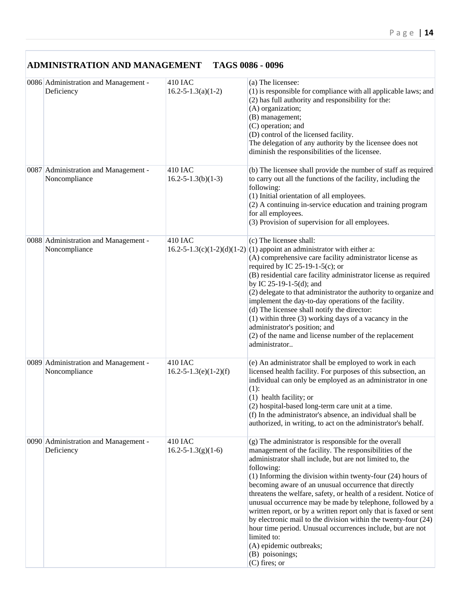| <b>ADMINISTRATION AND MANAGEMENT</b>                  |                                            | TAGS 0086 - 0096                                                                                                                                                                                                                                                                                                                                                                                                                                                                                                                                                                                                                                                                                                                              |
|-------------------------------------------------------|--------------------------------------------|-----------------------------------------------------------------------------------------------------------------------------------------------------------------------------------------------------------------------------------------------------------------------------------------------------------------------------------------------------------------------------------------------------------------------------------------------------------------------------------------------------------------------------------------------------------------------------------------------------------------------------------------------------------------------------------------------------------------------------------------------|
| 0086 Administration and Management -<br>Deficiency    | <b>410 IAC</b><br>$16.2 - 5 - 1.3(a)(1-2)$ | (a) The licensee:<br>(1) is responsible for compliance with all applicable laws; and<br>(2) has full authority and responsibility for the:<br>(A) organization;<br>(B) management;<br>(C) operation; and<br>(D) control of the licensed facility.<br>The delegation of any authority by the licensee does not<br>diminish the responsibilities of the licensee.                                                                                                                                                                                                                                                                                                                                                                               |
| 0087 Administration and Management -<br>Noncompliance | 410 IAC<br>$16.2 - 5 - 1.3(b)(1-3)$        | (b) The licensee shall provide the number of staff as required<br>to carry out all the functions of the facility, including the<br>following:<br>(1) Initial orientation of all employees.<br>(2) A continuing in-service education and training program<br>for all employees.<br>(3) Provision of supervision for all employees.                                                                                                                                                                                                                                                                                                                                                                                                             |
| 0088 Administration and Management -<br>Noncompliance | 410 IAC                                    | (c) The licensee shall:<br>$16.2 - 5 - 1.3(c)(1-2)(d)(1-2)(1)$ appoint an administrator with either a:<br>(A) comprehensive care facility administrator license as<br>required by IC 25-19-1-5(c); or<br>(B) residential care facility administrator license as required<br>by IC $25-19-1-5(d)$ ; and<br>(2) delegate to that administrator the authority to organize and<br>implement the day-to-day operations of the facility.<br>(d) The licensee shall notify the director:<br>$(1)$ within three $(3)$ working days of a vacancy in the<br>administrator's position; and<br>(2) of the name and license number of the replacement<br>administrator                                                                                     |
| 0089 Administration and Management -<br>Noncompliance | 410 IAC<br>$16.2 - 5 - 1.3(e)(1 - 2)(f)$   | (e) An administrator shall be employed to work in each<br>licensed health facility. For purposes of this subsection, an<br>individual can only be employed as an administrator in one<br>$(1)$ :<br>$(1)$ health facility; or<br>(2) hospital-based long-term care unit at a time.<br>(f) In the administrator's absence, an individual shall be<br>authorized, in writing, to act on the administrator's behalf.                                                                                                                                                                                                                                                                                                                             |
| 0090 Administration and Management -<br>Deficiency    | 410 IAC<br>$16.2 - 5 - 1.3(g)(1-6)$        | (g) The administrator is responsible for the overall<br>management of the facility. The responsibilities of the<br>administrator shall include, but are not limited to, the<br>following:<br>$(1)$ Informing the division within twenty-four $(24)$ hours of<br>becoming aware of an unusual occurrence that directly<br>threatens the welfare, safety, or health of a resident. Notice of<br>unusual occurrence may be made by telephone, followed by a<br>written report, or by a written report only that is faxed or sent<br>by electronic mail to the division within the twenty-four (24)<br>hour time period. Unusual occurrences include, but are not<br>limited to:<br>(A) epidemic outbreaks;<br>(B) poisonings;<br>$(C)$ fires; or |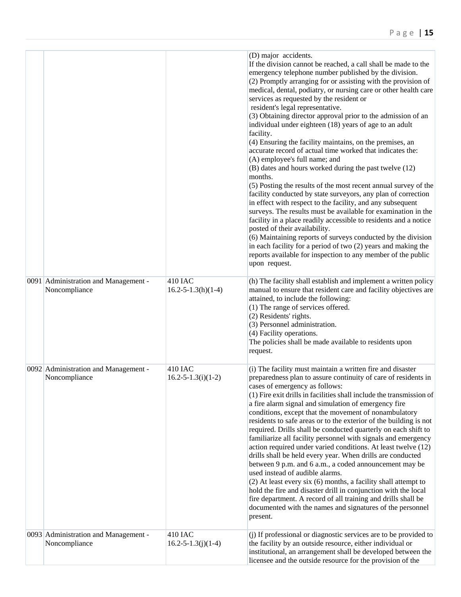|                                                       |                                            | (D) major accidents.<br>If the division cannot be reached, a call shall be made to the<br>emergency telephone number published by the division.<br>(2) Promptly arranging for or assisting with the provision of<br>medical, dental, podiatry, or nursing care or other health care<br>services as requested by the resident or<br>resident's legal representative.<br>(3) Obtaining director approval prior to the admission of an<br>individual under eighteen (18) years of age to an adult<br>facility.<br>(4) Ensuring the facility maintains, on the premises, an<br>accurate record of actual time worked that indicates the:<br>(A) employee's full name; and<br>(B) dates and hours worked during the past twelve (12)<br>months.<br>(5) Posting the results of the most recent annual survey of the<br>facility conducted by state surveyors, any plan of correction<br>in effect with respect to the facility, and any subsequent<br>surveys. The results must be available for examination in the<br>facility in a place readily accessible to residents and a notice<br>posted of their availability.<br>(6) Maintaining reports of surveys conducted by the division<br>in each facility for a period of two (2) years and making the<br>reports available for inspection to any member of the public<br>upon request. |
|-------------------------------------------------------|--------------------------------------------|--------------------------------------------------------------------------------------------------------------------------------------------------------------------------------------------------------------------------------------------------------------------------------------------------------------------------------------------------------------------------------------------------------------------------------------------------------------------------------------------------------------------------------------------------------------------------------------------------------------------------------------------------------------------------------------------------------------------------------------------------------------------------------------------------------------------------------------------------------------------------------------------------------------------------------------------------------------------------------------------------------------------------------------------------------------------------------------------------------------------------------------------------------------------------------------------------------------------------------------------------------------------------------------------------------------------------------------|
| 0091 Administration and Management -<br>Noncompliance | <b>410 IAC</b><br>$16.2 - 5 - 1.3(h)(1-4)$ | (h) The facility shall establish and implement a written policy<br>manual to ensure that resident care and facility objectives are<br>attained, to include the following:<br>(1) The range of services offered.<br>(2) Residents' rights.<br>(3) Personnel administration.<br>(4) Facility operations.<br>The policies shall be made available to residents upon<br>request.                                                                                                                                                                                                                                                                                                                                                                                                                                                                                                                                                                                                                                                                                                                                                                                                                                                                                                                                                         |
| 0092 Administration and Management -<br>Noncompliance | <b>410 IAC</b><br>$16.2 - 5 - 1.3(i)(1-2)$ | (i) The facility must maintain a written fire and disaster<br>preparedness plan to assure continuity of care of residents in<br>cases of emergency as follows:<br>(1) Fire exit drills in facilities shall include the transmission of<br>a fire alarm signal and simulation of emergency fire<br>conditions, except that the movement of nonambulatory<br>residents to safe areas or to the exterior of the building is not<br>required. Drills shall be conducted quarterly on each shift to<br>familiarize all facility personnel with signals and emergency<br>action required under varied conditions. At least twelve (12)<br>drills shall be held every year. When drills are conducted<br>between 9 p.m. and 6 a.m., a coded announcement may be<br>used instead of audible alarms.<br>$(2)$ At least every six $(6)$ months, a facility shall attempt to<br>hold the fire and disaster drill in conjunction with the local<br>fire department. A record of all training and drills shall be<br>documented with the names and signatures of the personnel<br>present.                                                                                                                                                                                                                                                        |
| 0093 Administration and Management -<br>Noncompliance | 410 IAC<br>$16.2 - 5 - 1.3(j)(1-4)$        | (j) If professional or diagnostic services are to be provided to<br>the facility by an outside resource, either individual or<br>institutional, an arrangement shall be developed between the<br>licensee and the outside resource for the provision of the                                                                                                                                                                                                                                                                                                                                                                                                                                                                                                                                                                                                                                                                                                                                                                                                                                                                                                                                                                                                                                                                          |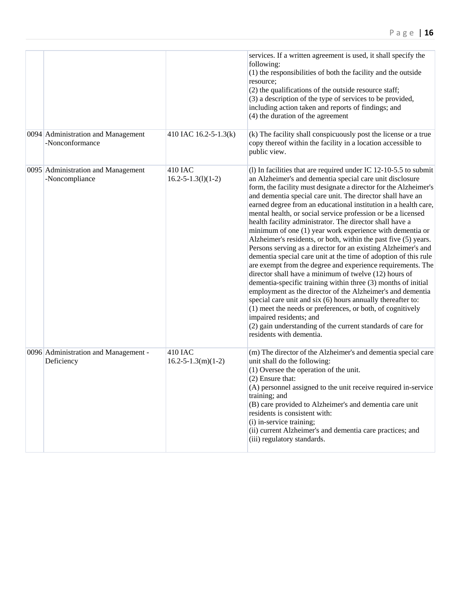|                                                       |                                       | services. If a written agreement is used, it shall specify the<br>following:<br>(1) the responsibilities of both the facility and the outside<br>resource;<br>(2) the qualifications of the outside resource staff;<br>(3) a description of the type of services to be provided,<br>including action taken and reports of findings; and<br>(4) the duration of the agreement                                                                                                                                                                                                                                                                                                                                                                                                                                                                                                                                                                                                                                                                                                                                                                                                                                                                 |
|-------------------------------------------------------|---------------------------------------|----------------------------------------------------------------------------------------------------------------------------------------------------------------------------------------------------------------------------------------------------------------------------------------------------------------------------------------------------------------------------------------------------------------------------------------------------------------------------------------------------------------------------------------------------------------------------------------------------------------------------------------------------------------------------------------------------------------------------------------------------------------------------------------------------------------------------------------------------------------------------------------------------------------------------------------------------------------------------------------------------------------------------------------------------------------------------------------------------------------------------------------------------------------------------------------------------------------------------------------------|
| 0094 Administration and Management<br>-Nonconformance | 410 IAC 16.2-5-1.3(k)                 | (k) The facility shall conspicuously post the license or a true<br>copy thereof within the facility in a location accessible to<br>public view.                                                                                                                                                                                                                                                                                                                                                                                                                                                                                                                                                                                                                                                                                                                                                                                                                                                                                                                                                                                                                                                                                              |
| 0095 Administration and Management<br>-Noncompliance  | 410 IAC<br>$16.2 - 5 - 1.3(1)(1 - 2)$ | (1) In facilities that are required under IC $12-10-5.5$ to submit<br>an Alzheimer's and dementia special care unit disclosure<br>form, the facility must designate a director for the Alzheimer's<br>and dementia special care unit. The director shall have an<br>earned degree from an educational institution in a health care,<br>mental health, or social service profession or be a licensed<br>health facility administrator. The director shall have a<br>minimum of one (1) year work experience with dementia or<br>Alzheimer's residents, or both, within the past five (5) years.<br>Persons serving as a director for an existing Alzheimer's and<br>dementia special care unit at the time of adoption of this rule<br>are exempt from the degree and experience requirements. The<br>director shall have a minimum of twelve (12) hours of<br>dementia-specific training within three (3) months of initial<br>employment as the director of the Alzheimer's and dementia<br>special care unit and six (6) hours annually thereafter to:<br>(1) meet the needs or preferences, or both, of cognitively<br>impaired residents; and<br>(2) gain understanding of the current standards of care for<br>residents with dementia. |
| 0096 Administration and Management -<br>Deficiency    | 410 IAC<br>$16.2 - 5 - 1.3(m)(1 - 2)$ | (m) The director of the Alzheimer's and dementia special care<br>unit shall do the following:<br>(1) Oversee the operation of the unit.<br>(2) Ensure that:<br>(A) personnel assigned to the unit receive required in-service<br>training; and<br>(B) care provided to Alzheimer's and dementia care unit<br>residents is consistent with:<br>(i) in-service training;<br>(ii) current Alzheimer's and dementia care practices; and<br>(iii) regulatory standards.                                                                                                                                                                                                                                                                                                                                                                                                                                                                                                                                                                                                                                                                                                                                                                           |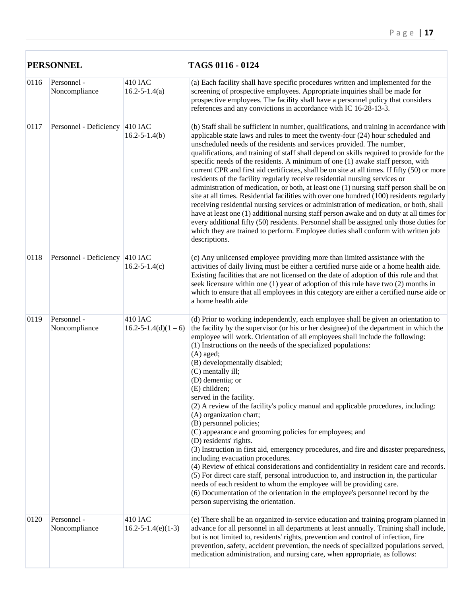| <b>PERSONNEL</b> |                                |                                       | TAGS 0116 - 0124                                                                                                                                                                                                                                                                                                                                                                                                                                                                                                                                                                                                                                                                                                                                                                                                                                                                                                                                                                                                                                                                                                                                                                                                         |  |
|------------------|--------------------------------|---------------------------------------|--------------------------------------------------------------------------------------------------------------------------------------------------------------------------------------------------------------------------------------------------------------------------------------------------------------------------------------------------------------------------------------------------------------------------------------------------------------------------------------------------------------------------------------------------------------------------------------------------------------------------------------------------------------------------------------------------------------------------------------------------------------------------------------------------------------------------------------------------------------------------------------------------------------------------------------------------------------------------------------------------------------------------------------------------------------------------------------------------------------------------------------------------------------------------------------------------------------------------|--|
| 0116             | Personnel -<br>Noncompliance   | <b>410 IAC</b><br>$16.2 - 5 - 1.4(a)$ | (a) Each facility shall have specific procedures written and implemented for the<br>screening of prospective employees. Appropriate inquiries shall be made for<br>prospective employees. The facility shall have a personnel policy that considers<br>references and any convictions in accordance with IC 16-28-13-3.                                                                                                                                                                                                                                                                                                                                                                                                                                                                                                                                                                                                                                                                                                                                                                                                                                                                                                  |  |
| 0117             | Personnel - Deficiency 410 IAC | $16.2 - 5 - 1.4(b)$                   | (b) Staff shall be sufficient in number, qualifications, and training in accordance with<br>applicable state laws and rules to meet the twenty-four (24) hour scheduled and<br>unscheduled needs of the residents and services provided. The number,<br>qualifications, and training of staff shall depend on skills required to provide for the<br>specific needs of the residents. A minimum of one (1) awake staff person, with<br>current CPR and first aid certificates, shall be on site at all times. If fifty (50) or more<br>residents of the facility regularly receive residential nursing services or<br>administration of medication, or both, at least one (1) nursing staff person shall be on<br>site at all times. Residential facilities with over one hundred (100) residents regularly<br>receiving residential nursing services or administration of medication, or both, shall<br>have at least one (1) additional nursing staff person awake and on duty at all times for<br>every additional fifty (50) residents. Personnel shall be assigned only those duties for<br>which they are trained to perform. Employee duties shall conform with written job<br>descriptions.                       |  |
| 0118             | Personnel - Deficiency 410 IAC | $16.2 - 5 - 1.4(c)$                   | (c) Any unlicensed employee providing more than limited assistance with the<br>activities of daily living must be either a certified nurse aide or a home health aide.<br>Existing facilities that are not licensed on the date of adoption of this rule and that<br>seek licensure within one (1) year of adoption of this rule have two (2) months in<br>which to ensure that all employees in this category are either a certified nurse aide or<br>a home health aide                                                                                                                                                                                                                                                                                                                                                                                                                                                                                                                                                                                                                                                                                                                                                |  |
| 0119             | Personnel -<br>Noncompliance   | 410 IAC<br>$16.2 - 5 - 1.4(d)(1 - 6)$ | (d) Prior to working independently, each employee shall be given an orientation to<br>the facility by the supervisor (or his or her designee) of the department in which the<br>employee will work. Orientation of all employees shall include the following:<br>(1) Instructions on the needs of the specialized populations:<br>$(A)$ aged;<br>(B) developmentally disabled;<br>(C) mentally ill;<br>(D) dementia; or<br>(E) children;<br>served in the facility.<br>(2) A review of the facility's policy manual and applicable procedures, including:<br>(A) organization chart;<br>(B) personnel policies;<br>(C) appearance and grooming policies for employees; and<br>(D) residents' rights.<br>(3) Instruction in first aid, emergency procedures, and fire and disaster preparedness,<br>including evacuation procedures.<br>(4) Review of ethical considerations and confidentiality in resident care and records.<br>(5) For direct care staff, personal introduction to, and instruction in, the particular<br>needs of each resident to whom the employee will be providing care.<br>(6) Documentation of the orientation in the employee's personnel record by the<br>person supervising the orientation. |  |
| 0120             | Personnel -<br>Noncompliance   | 410 IAC<br>$16.2 - 5 - 1.4(e)(1-3)$   | (e) There shall be an organized in-service education and training program planned in<br>advance for all personnel in all departments at least annually. Training shall include,<br>but is not limited to, residents' rights, prevention and control of infection, fire<br>prevention, safety, accident prevention, the needs of specialized populations served,<br>medication administration, and nursing care, when appropriate, as follows:                                                                                                                                                                                                                                                                                                                                                                                                                                                                                                                                                                                                                                                                                                                                                                            |  |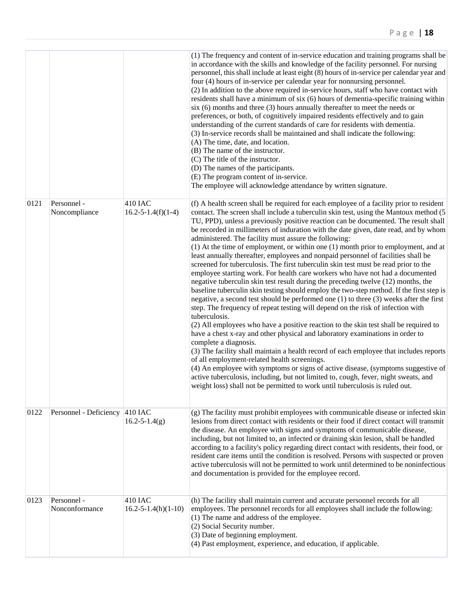|      |                               |                                        | (1) The frequency and content of in-service education and training programs shall be<br>in accordance with the skills and knowledge of the facility personnel. For nursing<br>personnel, this shall include at least eight (8) hours of in-service per calendar year and<br>four (4) hours of in-service per calendar year for nonnursing personnel.<br>(2) In addition to the above required in-service hours, staff who have contact with<br>residents shall have a minimum of six (6) hours of dementia-specific training within<br>$six(6)$ months and three (3) hours annually thereafter to meet the needs or<br>preferences, or both, of cognitively impaired residents effectively and to gain<br>understanding of the current standards of care for residents with dementia.<br>(3) In-service records shall be maintained and shall indicate the following:<br>(A) The time, date, and location.<br>(B) The name of the instructor.<br>(C) The title of the instructor.<br>(D) The names of the participants.<br>(E) The program content of in-service.<br>The employee will acknowledge attendance by written signature.                                                                                                                                                                                                                                                                                                                                                                                                                                                                                                                                                                                                                                |
|------|-------------------------------|----------------------------------------|--------------------------------------------------------------------------------------------------------------------------------------------------------------------------------------------------------------------------------------------------------------------------------------------------------------------------------------------------------------------------------------------------------------------------------------------------------------------------------------------------------------------------------------------------------------------------------------------------------------------------------------------------------------------------------------------------------------------------------------------------------------------------------------------------------------------------------------------------------------------------------------------------------------------------------------------------------------------------------------------------------------------------------------------------------------------------------------------------------------------------------------------------------------------------------------------------------------------------------------------------------------------------------------------------------------------------------------------------------------------------------------------------------------------------------------------------------------------------------------------------------------------------------------------------------------------------------------------------------------------------------------------------------------------------------------------------------------------------------------------------------------------|
| 0121 | Personnel -<br>Noncompliance  | 410 IAC<br>$16.2 - 5 - 1.4(f)(1-4)$    | (f) A health screen shall be required for each employee of a facility prior to resident<br>contact. The screen shall include a tuberculin skin test, using the Mantoux method (5<br>TU, PPD), unless a previously positive reaction can be documented. The result shall<br>be recorded in millimeters of induration with the date given, date read, and by whom<br>administered. The facility must assure the following:<br>(1) At the time of employment, or within one (1) month prior to employment, and at<br>least annually thereafter, employees and nonpaid personnel of facilities shall be<br>screened for tuberculosis. The first tuberculin skin test must be read prior to the<br>employee starting work. For health care workers who have not had a documented<br>negative tuberculin skin test result during the preceding twelve (12) months, the<br>baseline tuberculin skin testing should employ the two-step method. If the first step is<br>negative, a second test should be performed one (1) to three (3) weeks after the first<br>step. The frequency of repeat testing will depend on the risk of infection with<br>tuberculosis.<br>(2) All employees who have a positive reaction to the skin test shall be required to<br>have a chest x-ray and other physical and laboratory examinations in order to<br>complete a diagnosis.<br>(3) The facility shall maintain a health record of each employee that includes reports<br>of all employment-related health screenings.<br>(4) An employee with symptoms or signs of active disease, (symptoms suggestive of<br>active tuberculosis, including, but not limited to, cough, fever, night sweats, and<br>weight loss) shall not be permitted to work until tuberculosis is ruled out. |
| 0122 | Personnel - Deficiency        | 410 IAC<br>$16.2 - 5 - 1.4(g)$         | (g) The facility must prohibit employees with communicable disease or infected skin<br>lesions from direct contact with residents or their food if direct contact will transmit<br>the disease. An employee with signs and symptoms of communicable disease,<br>including, but not limited to, an infected or draining skin lesion, shall be handled<br>according to a facility's policy regarding direct contact with residents, their food, or<br>resident care items until the condition is resolved. Persons with suspected or proven<br>active tuberculosis will not be permitted to work until determined to be noninfectious<br>and documentation is provided for the employee record.                                                                                                                                                                                                                                                                                                                                                                                                                                                                                                                                                                                                                                                                                                                                                                                                                                                                                                                                                                                                                                                                      |
| 0123 | Personnel -<br>Nonconformance | 410 IAC<br>$16.2 - 5 - 1.4(h)(1 - 10)$ | (h) The facility shall maintain current and accurate personnel records for all<br>employees. The personnel records for all employees shall include the following:<br>(1) The name and address of the employee.<br>(2) Social Security number.<br>(3) Date of beginning employment.<br>(4) Past employment, experience, and education, if applicable.                                                                                                                                                                                                                                                                                                                                                                                                                                                                                                                                                                                                                                                                                                                                                                                                                                                                                                                                                                                                                                                                                                                                                                                                                                                                                                                                                                                                               |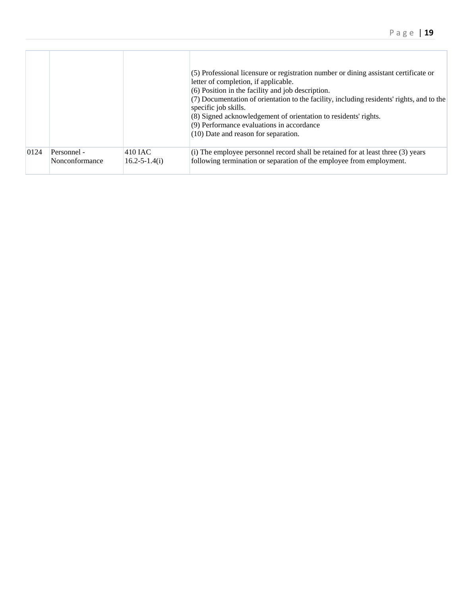|      |                |                     | (5) Professional licensure or registration number or dining assistant certificate or<br>letter of completion, if applicable.<br>(6) Position in the facility and job description.<br>(7) Documentation of orientation to the facility, including residents' rights, and to the<br>specific job skills.<br>(8) Signed acknowledgement of orientation to residents' rights.<br>(9) Performance evaluations in accordance<br>(10) Date and reason for separation. |
|------|----------------|---------------------|----------------------------------------------------------------------------------------------------------------------------------------------------------------------------------------------------------------------------------------------------------------------------------------------------------------------------------------------------------------------------------------------------------------------------------------------------------------|
| 0124 | Personnel -    | $410$ JAC           | (i) The employee personnel record shall be retained for at least three (3) years                                                                                                                                                                                                                                                                                                                                                                               |
|      | Nonconformance | $16.2 - 5 - 1.4(i)$ | following termination or separation of the employee from employment.                                                                                                                                                                                                                                                                                                                                                                                           |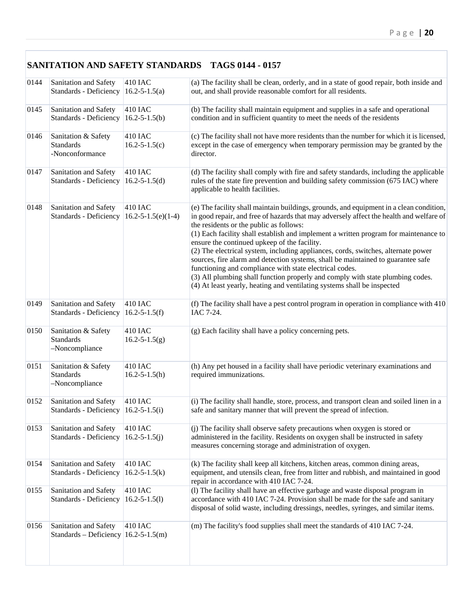|      | <b>SANITATION AND SAFETY STANDARDS TAGS 0144 - 0157</b>               |                                       |                                                                                                                                                                                                                                                                                                                                                                                                                                                                                                                                                                                                                                                                                                                                                                        |  |  |
|------|-----------------------------------------------------------------------|---------------------------------------|------------------------------------------------------------------------------------------------------------------------------------------------------------------------------------------------------------------------------------------------------------------------------------------------------------------------------------------------------------------------------------------------------------------------------------------------------------------------------------------------------------------------------------------------------------------------------------------------------------------------------------------------------------------------------------------------------------------------------------------------------------------------|--|--|
| 0144 | Sanitation and Safety<br>Standards - Deficiency                       | 410 IAC<br>$16.2 - 5 - 1.5(a)$        | (a) The facility shall be clean, orderly, and in a state of good repair, both inside and<br>out, and shall provide reasonable comfort for all residents.                                                                                                                                                                                                                                                                                                                                                                                                                                                                                                                                                                                                               |  |  |
| 0145 | Sanitation and Safety<br>Standards - Deficiency                       | 410 IAC<br>$16.2 - 5 - 1.5(b)$        | (b) The facility shall maintain equipment and supplies in a safe and operational<br>condition and in sufficient quantity to meet the needs of the residents                                                                                                                                                                                                                                                                                                                                                                                                                                                                                                                                                                                                            |  |  |
| 0146 | Sanitation & Safety<br><b>Standards</b><br>-Nonconformance            | 410 IAC<br>$16.2 - 5 - 1.5(c)$        | (c) The facility shall not have more residents than the number for which it is licensed,<br>except in the case of emergency when temporary permission may be granted by the<br>director.                                                                                                                                                                                                                                                                                                                                                                                                                                                                                                                                                                               |  |  |
| 0147 | Sanitation and Safety<br>Standards - Deficiency                       | 410 IAC<br>$16.2 - 5 - 1.5(d)$        | (d) The facility shall comply with fire and safety standards, including the applicable<br>rules of the state fire prevention and building safety commission (675 IAC) where<br>applicable to health facilities.                                                                                                                                                                                                                                                                                                                                                                                                                                                                                                                                                        |  |  |
| 0148 | Sanitation and Safety<br>Standards - Deficiency                       | 410 IAC<br>$16.2 - 5 - 1.5(e)(1-4)$   | (e) The facility shall maintain buildings, grounds, and equipment in a clean condition,<br>in good repair, and free of hazards that may adversely affect the health and welfare of<br>the residents or the public as follows:<br>(1) Each facility shall establish and implement a written program for maintenance to<br>ensure the continued upkeep of the facility.<br>(2) The electrical system, including appliances, cords, switches, alternate power<br>sources, fire alarm and detection systems, shall be maintained to guarantee safe<br>functioning and compliance with state electrical codes.<br>(3) All plumbing shall function properly and comply with state plumbing codes.<br>(4) At least yearly, heating and ventilating systems shall be inspected |  |  |
| 0149 | Sanitation and Safety<br>Standards - Deficiency                       | 410 IAC<br>$16.2 - 5 - 1.5(f)$        | (f) The facility shall have a pest control program in operation in compliance with 410<br>IAC 7-24.                                                                                                                                                                                                                                                                                                                                                                                                                                                                                                                                                                                                                                                                    |  |  |
| 0150 | Sanitation & Safety<br><b>Standards</b><br>-Noncompliance             | <b>410 IAC</b><br>$16.2 - 5 - 1.5(g)$ | (g) Each facility shall have a policy concerning pets.                                                                                                                                                                                                                                                                                                                                                                                                                                                                                                                                                                                                                                                                                                                 |  |  |
| 0151 | Sanitation & Safety<br><b>Standards</b><br>-Noncompliance             | 410 IAC<br>$16.2 - 5 - 1.5(h)$        | (h) Any pet housed in a facility shall have periodic veterinary examinations and<br>required immunizations.                                                                                                                                                                                                                                                                                                                                                                                                                                                                                                                                                                                                                                                            |  |  |
| 0152 | Sanitation and Safety<br>Standards - Deficiency                       | 410 IAC<br>$16.2 - 5 - 1.5(i)$        | (i) The facility shall handle, store, process, and transport clean and soiled linen in a<br>safe and sanitary manner that will prevent the spread of infection.                                                                                                                                                                                                                                                                                                                                                                                                                                                                                                                                                                                                        |  |  |
| 0153 | Sanitation and Safety<br>Standards - Deficiency                       | 410 IAC<br>$16.2 - 5 - 1.5(j)$        | (j) The facility shall observe safety precautions when oxygen is stored or<br>administered in the facility. Residents on oxygen shall be instructed in safety<br>measures concerning storage and administration of oxygen.                                                                                                                                                                                                                                                                                                                                                                                                                                                                                                                                             |  |  |
| 0154 | Sanitation and Safety<br>Standards - Deficiency                       | 410 IAC<br>$16.2 - 5 - 1.5(k)$        | (k) The facility shall keep all kitchens, kitchen areas, common dining areas,<br>equipment, and utensils clean, free from litter and rubbish, and maintained in good<br>repair in accordance with 410 IAC 7-24.                                                                                                                                                                                                                                                                                                                                                                                                                                                                                                                                                        |  |  |
| 0155 | Sanitation and Safety<br>Standards - Deficiency                       | 410 IAC<br>$16.2 - 5 - 1.5(l)$        | (l) The facility shall have an effective garbage and waste disposal program in<br>accordance with 410 IAC 7-24. Provision shall be made for the safe and sanitary<br>disposal of solid waste, including dressings, needles, syringes, and similar items.                                                                                                                                                                                                                                                                                                                                                                                                                                                                                                               |  |  |
| 0156 | Sanitation and Safety<br>Standards – Deficiency $ 16.2 - 5 - 1.5(m) $ | 410 IAC                               | (m) The facility's food supplies shall meet the standards of 410 IAC 7-24.                                                                                                                                                                                                                                                                                                                                                                                                                                                                                                                                                                                                                                                                                             |  |  |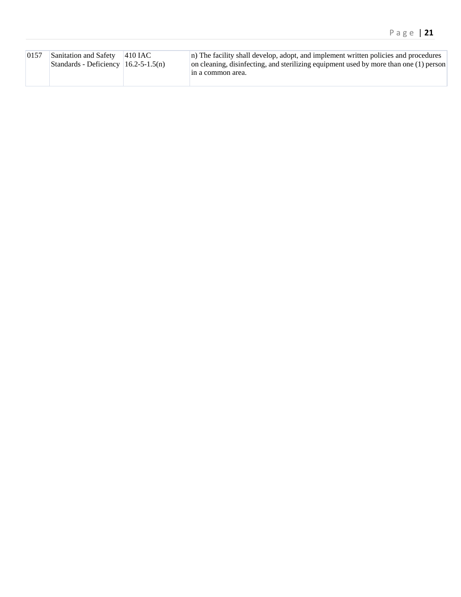| 0157 | Sanitation and Safety                        | $ 410$ IAC | n) The facility shall develop, adopt, and implement written policies and procedures   |
|------|----------------------------------------------|------------|---------------------------------------------------------------------------------------|
|      | Standards - Deficiency $(16.2 - 5 - 1.5(n))$ |            | on cleaning, disinfecting, and sterilizing equipment used by more than one (1) person |
|      |                                              |            | In a common area.                                                                     |
|      |                                              |            |                                                                                       |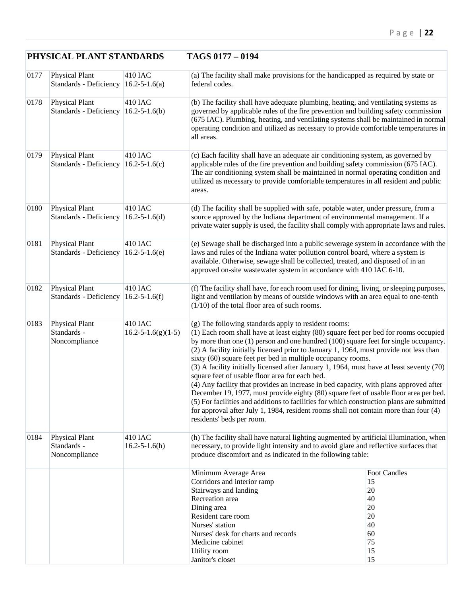## **PHYSICAL PLANT STANDARDS TAGS 0177 – 0194**

| 0177 | Physical Plant<br>Standards - Deficiency              | 410 IAC<br>$16.2 - 5 - 1.6(a)$      | (a) The facility shall make provisions for the handicapped as required by state or<br>federal codes.                                                                                                                                                                                                                                                                                                                                                                                                                                                                                                                                                                                                                                                                                                                                                                                                                                           |                                                                                 |
|------|-------------------------------------------------------|-------------------------------------|------------------------------------------------------------------------------------------------------------------------------------------------------------------------------------------------------------------------------------------------------------------------------------------------------------------------------------------------------------------------------------------------------------------------------------------------------------------------------------------------------------------------------------------------------------------------------------------------------------------------------------------------------------------------------------------------------------------------------------------------------------------------------------------------------------------------------------------------------------------------------------------------------------------------------------------------|---------------------------------------------------------------------------------|
| 0178 | Physical Plant<br>Standards - Deficiency              | 410 IAC<br>$16.2 - 5 - 1.6(b)$      | (b) The facility shall have adequate plumbing, heating, and ventilating systems as<br>governed by applicable rules of the fire prevention and building safety commission<br>(675 IAC). Plumbing, heating, and ventilating systems shall be maintained in normal<br>operating condition and utilized as necessary to provide comfortable temperatures in<br>all areas.                                                                                                                                                                                                                                                                                                                                                                                                                                                                                                                                                                          |                                                                                 |
| 0179 | <b>Physical Plant</b><br>Standards - Deficiency       | 410 IAC<br>$16.2 - 5 - 1.6(c)$      | (c) Each facility shall have an adequate air conditioning system, as governed by<br>applicable rules of the fire prevention and building safety commission (675 IAC).<br>The air conditioning system shall be maintained in normal operating condition and<br>utilized as necessary to provide comfortable temperatures in all resident and public<br>areas.                                                                                                                                                                                                                                                                                                                                                                                                                                                                                                                                                                                   |                                                                                 |
| 0180 | <b>Physical Plant</b><br>Standards - Deficiency       | 410 IAC<br>$16.2 - 5 - 1.6(d)$      | (d) The facility shall be supplied with safe, potable water, under pressure, from a<br>source approved by the Indiana department of environmental management. If a<br>private water supply is used, the facility shall comply with appropriate laws and rules.                                                                                                                                                                                                                                                                                                                                                                                                                                                                                                                                                                                                                                                                                 |                                                                                 |
| 0181 | <b>Physical Plant</b><br>Standards - Deficiency       | 410 IAC<br>$16.2 - 5 - 1.6(e)$      | (e) Sewage shall be discharged into a public sewerage system in accordance with the<br>laws and rules of the Indiana water pollution control board, where a system is<br>available. Otherwise, sewage shall be collected, treated, and disposed of in an<br>approved on-site wastewater system in accordance with 410 IAC 6-10.                                                                                                                                                                                                                                                                                                                                                                                                                                                                                                                                                                                                                |                                                                                 |
| 0182 | <b>Physical Plant</b><br>Standards - Deficiency       | 410 IAC<br>$16.2 - 5 - 1.6(f)$      | (f) The facility shall have, for each room used for dining, living, or sleeping purposes,<br>light and ventilation by means of outside windows with an area equal to one-tenth<br>$(1/10)$ of the total floor area of such rooms.                                                                                                                                                                                                                                                                                                                                                                                                                                                                                                                                                                                                                                                                                                              |                                                                                 |
| 0183 | <b>Physical Plant</b><br>Standards -<br>Noncompliance | 410 IAC<br>$16.2 - 5 - 1.6(g)(1-5)$ | (g) The following standards apply to resident rooms:<br>(1) Each room shall have at least eighty (80) square feet per bed for rooms occupied<br>by more than one (1) person and one hundred (100) square feet for single occupancy.<br>(2) A facility initially licensed prior to January 1, 1964, must provide not less than<br>sixty (60) square feet per bed in multiple occupancy rooms.<br>(3) A facility initially licensed after January 1, 1964, must have at least seventy (70)<br>square feet of usable floor area for each bed.<br>(4) Any facility that provides an increase in bed capacity, with plans approved after<br>December 19, 1977, must provide eighty (80) square feet of usable floor area per bed.<br>(5) For facilities and additions to facilities for which construction plans are submitted<br>for approval after July 1, 1984, resident rooms shall not contain more than four (4)<br>residents' beds per room. |                                                                                 |
| 0184 | Physical Plant<br>Standards -<br>Noncompliance        | 410 IAC<br>$16.2 - 5 - 1.6(h)$      | (h) The facility shall have natural lighting augmented by artificial illumination, when<br>necessary, to provide light intensity and to avoid glare and reflective surfaces that<br>produce discomfort and as indicated in the following table:                                                                                                                                                                                                                                                                                                                                                                                                                                                                                                                                                                                                                                                                                                |                                                                                 |
|      |                                                       |                                     | Minimum Average Area<br>Corridors and interior ramp<br>Stairways and landing<br>Recreation area<br>Dining area<br>Resident care room<br>Nurses' station<br>Nurses' desk for charts and records<br>Medicine cabinet<br>Utility room<br>Janitor's closet                                                                                                                                                                                                                                                                                                                                                                                                                                                                                                                                                                                                                                                                                         | <b>Foot Candles</b><br>15<br>20<br>40<br>20<br>20<br>40<br>60<br>75<br>15<br>15 |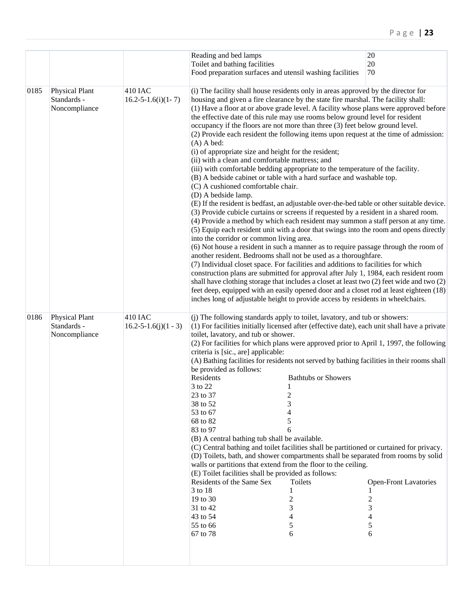|      |                                                       |                                       | Reading and bed lamps<br>Toilet and bathing facilities<br>Food preparation surfaces and utensil washing facilities                                                                                                                                                                                                                                                                                                                                                                                                                                                                                                                                                                                                                                                                                                                                                                                                                                                                                                                                                                                                                                                                                                                                                                                                                                                                                                                                                                                                                                                                                                                                                                                                                                                                                                                                                                                               | $20\,$<br>20<br>70                          |
|------|-------------------------------------------------------|---------------------------------------|------------------------------------------------------------------------------------------------------------------------------------------------------------------------------------------------------------------------------------------------------------------------------------------------------------------------------------------------------------------------------------------------------------------------------------------------------------------------------------------------------------------------------------------------------------------------------------------------------------------------------------------------------------------------------------------------------------------------------------------------------------------------------------------------------------------------------------------------------------------------------------------------------------------------------------------------------------------------------------------------------------------------------------------------------------------------------------------------------------------------------------------------------------------------------------------------------------------------------------------------------------------------------------------------------------------------------------------------------------------------------------------------------------------------------------------------------------------------------------------------------------------------------------------------------------------------------------------------------------------------------------------------------------------------------------------------------------------------------------------------------------------------------------------------------------------------------------------------------------------------------------------------------------------|---------------------------------------------|
| 0185 | Physical Plant<br>Standards -<br>Noncompliance        | 410 IAC<br>$16.2 - 5 - 1.6(i)(1 - 7)$ | (i) The facility shall house residents only in areas approved by the director for<br>housing and given a fire clearance by the state fire marshal. The facility shall:<br>(1) Have a floor at or above grade level. A facility whose plans were approved before<br>the effective date of this rule may use rooms below ground level for resident<br>occupancy if the floors are not more than three (3) feet below ground level.<br>(2) Provide each resident the following items upon request at the time of admission:<br>$(A)$ A bed:<br>(i) of appropriate size and height for the resident;<br>(ii) with a clean and comfortable mattress; and<br>(iii) with comfortable bedding appropriate to the temperature of the facility.<br>(B) A bedside cabinet or table with a hard surface and washable top.<br>(C) A cushioned comfortable chair.<br>(D) A bedside lamp.<br>(E) If the resident is bedfast, an adjustable over-the-bed table or other suitable device.<br>(3) Provide cubicle curtains or screens if requested by a resident in a shared room.<br>(4) Provide a method by which each resident may summon a staff person at any time.<br>(5) Equip each resident unit with a door that swings into the room and opens directly<br>into the corridor or common living area.<br>(6) Not house a resident in such a manner as to require passage through the room of<br>another resident. Bedrooms shall not be used as a thoroughfare.<br>(7) Individual closet space. For facilities and additions to facilities for which<br>construction plans are submitted for approval after July 1, 1984, each resident room<br>shall have clothing storage that includes a closet at least two $(2)$ feet wide and two $(2)$<br>feet deep, equipped with an easily opened door and a closet rod at least eighteen (18)<br>inches long of adjustable height to provide access by residents in wheelchairs. |                                             |
| 0186 | <b>Physical Plant</b><br>Standards -<br>Noncompliance | 410 IAC<br>$16.2 - 5 - 1.6(j)(1 - 3)$ | (j) The following standards apply to toilet, lavatory, and tub or showers:<br>(1) For facilities initially licensed after (effective date), each unit shall have a private<br>toilet, lavatory, and tub or shower.<br>(2) For facilities for which plans were approved prior to April 1, 1997, the following<br>criteria is [sic., are] applicable:<br>(A) Bathing facilities for residents not served by bathing facilities in their rooms shall<br>be provided as follows:<br>Residents<br><b>Bathtubs or Showers</b><br>3 to 22<br>23 to 37<br>$\overline{c}$<br>38 to 52<br>3<br>53 to 67<br>4<br>68 to 82<br>5<br>83 to 97<br>6<br>(B) A central bathing tub shall be available.<br>(C) Central bathing and toilet facilities shall be partitioned or curtained for privacy.<br>(D) Toilets, bath, and shower compartments shall be separated from rooms by solid<br>walls or partitions that extend from the floor to the ceiling.<br>(E) Toilet facilities shall be provided as follows:<br>Residents of the Same Sex<br>Toilets<br>3 to 18<br>19 to 30<br>2<br>31 to 42<br>3<br>43 to 54<br>4<br>55 to 66<br>5<br>67 to 78<br>6                                                                                                                                                                                                                                                                                                                                                                                                                                                                                                                                                                                                                                                                                                                                                                          | <b>Open-Front Lavatories</b><br>3<br>5<br>6 |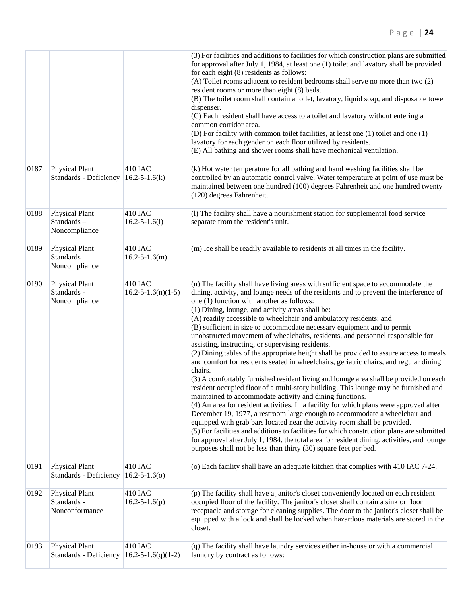|      |                                                 |                                              | (3) For facilities and additions to facilities for which construction plans are submitted<br>for approval after July 1, 1984, at least one (1) toilet and lavatory shall be provided<br>for each eight (8) residents as follows:<br>(A) Toilet rooms adjacent to resident bedrooms shall serve no more than two (2)<br>resident rooms or more than eight (8) beds.<br>(B) The toilet room shall contain a toilet, lavatory, liquid soap, and disposable towel<br>dispenser.<br>(C) Each resident shall have access to a toilet and lavatory without entering a<br>common corridor area.<br>(D) For facility with common toilet facilities, at least one (1) toilet and one (1)<br>lavatory for each gender on each floor utilized by residents.<br>(E) All bathing and shower rooms shall have mechanical ventilation.                                                                                                                                                                                                                                                                                                                                                                                                                                                                                                                                                                                                                                                                                                               |
|------|-------------------------------------------------|----------------------------------------------|--------------------------------------------------------------------------------------------------------------------------------------------------------------------------------------------------------------------------------------------------------------------------------------------------------------------------------------------------------------------------------------------------------------------------------------------------------------------------------------------------------------------------------------------------------------------------------------------------------------------------------------------------------------------------------------------------------------------------------------------------------------------------------------------------------------------------------------------------------------------------------------------------------------------------------------------------------------------------------------------------------------------------------------------------------------------------------------------------------------------------------------------------------------------------------------------------------------------------------------------------------------------------------------------------------------------------------------------------------------------------------------------------------------------------------------------------------------------------------------------------------------------------------------|
| 0187 | Physical Plant<br>Standards - Deficiency        | 410 IAC<br>$16.2 - 5 - 1.6(k)$               | (k) Hot water temperature for all bathing and hand washing facilities shall be<br>controlled by an automatic control valve. Water temperature at point of use must be<br>maintained between one hundred (100) degrees Fahrenheit and one hundred twenty<br>(120) degrees Fahrenheit.                                                                                                                                                                                                                                                                                                                                                                                                                                                                                                                                                                                                                                                                                                                                                                                                                                                                                                                                                                                                                                                                                                                                                                                                                                                 |
| 0188 | Physical Plant<br>Standards-<br>Noncompliance   | 410 IAC<br>$16.2 - 5 - 1.6(1)$               | (l) The facility shall have a nourishment station for supplemental food service<br>separate from the resident's unit.                                                                                                                                                                                                                                                                                                                                                                                                                                                                                                                                                                                                                                                                                                                                                                                                                                                                                                                                                                                                                                                                                                                                                                                                                                                                                                                                                                                                                |
| 0189 | Physical Plant<br>Standards-<br>Noncompliance   | <b>410 IAC</b><br>$16.2 - 5 - 1.6(m)$        | (m) Ice shall be readily available to residents at all times in the facility.                                                                                                                                                                                                                                                                                                                                                                                                                                                                                                                                                                                                                                                                                                                                                                                                                                                                                                                                                                                                                                                                                                                                                                                                                                                                                                                                                                                                                                                        |
| 0190 | Physical Plant<br>Standards -<br>Noncompliance  | 410 IAC<br>$16.2 - 5 - 1.6(n)(1-5)$          | (n) The facility shall have living areas with sufficient space to accommodate the<br>dining, activity, and lounge needs of the residents and to prevent the interference of<br>one (1) function with another as follows:<br>(1) Dining, lounge, and activity areas shall be:<br>(A) readily accessible to wheelchair and ambulatory residents; and<br>(B) sufficient in size to accommodate necessary equipment and to permit<br>unobstructed movement of wheelchairs, residents, and personnel responsible for<br>assisting, instructing, or supervising residents.<br>(2) Dining tables of the appropriate height shall be provided to assure access to meals<br>and comfort for residents seated in wheelchairs, geriatric chairs, and regular dining<br>chairs.<br>(3) A comfortably furnished resident living and lounge area shall be provided on each<br>resident occupied floor of a multi-story building. This lounge may be furnished and<br>maintained to accommodate activity and dining functions.<br>(4) An area for resident activities. In a facility for which plans were approved after<br>December 19, 1977, a restroom large enough to accommodate a wheelchair and<br>equipped with grab bars located near the activity room shall be provided.<br>(5) For facilities and additions to facilities for which construction plans are submitted<br>for approval after July 1, 1984, the total area for resident dining, activities, and lounge<br>purposes shall not be less than thirty (30) square feet per bed. |
| 0191 | Physical Plant<br>Standards - Deficiency        | 410 IAC<br>$16.2 - 5 - 1.6(0)$               | (o) Each facility shall have an adequate kitchen that complies with 410 IAC 7-24.                                                                                                                                                                                                                                                                                                                                                                                                                                                                                                                                                                                                                                                                                                                                                                                                                                                                                                                                                                                                                                                                                                                                                                                                                                                                                                                                                                                                                                                    |
| 0192 | Physical Plant<br>Standards -<br>Nonconformance | 410 IAC<br>$16.2 - 5 - 1.6(p)$               | (p) The facility shall have a janitor's closet conveniently located on each resident<br>occupied floor of the facility. The janitor's closet shall contain a sink or floor<br>receptacle and storage for cleaning supplies. The door to the janitor's closet shall be<br>equipped with a lock and shall be locked when hazardous materials are stored in the<br>closet.                                                                                                                                                                                                                                                                                                                                                                                                                                                                                                                                                                                                                                                                                                                                                                                                                                                                                                                                                                                                                                                                                                                                                              |
| 0193 | Physical Plant<br>Standards - Deficiency        | <b>410 IAC</b><br>$16.2 - 5 - 1.6(q)(1 - 2)$ | (q) The facility shall have laundry services either in-house or with a commercial<br>laundry by contract as follows:                                                                                                                                                                                                                                                                                                                                                                                                                                                                                                                                                                                                                                                                                                                                                                                                                                                                                                                                                                                                                                                                                                                                                                                                                                                                                                                                                                                                                 |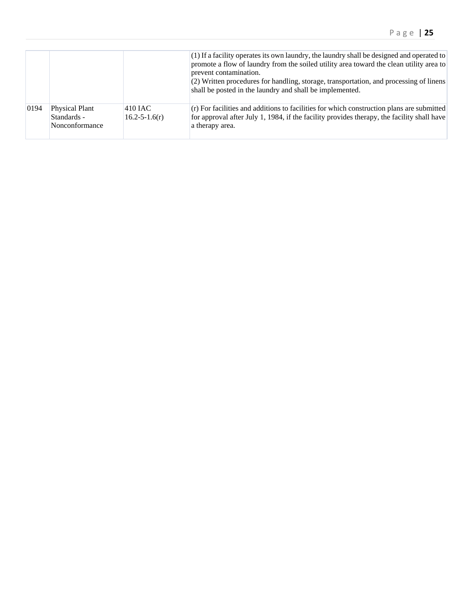|      |                                                 |                                | $(1)$ If a facility operates its own laundry, the laundry shall be designed and operated to<br>promote a flow of laundry from the soiled utility area toward the clean utility area to<br>prevent contamination.<br>(2) Written procedures for handling, storage, transportation, and processing of linens<br>shall be posted in the laundry and shall be implemented. |
|------|-------------------------------------------------|--------------------------------|------------------------------------------------------------------------------------------------------------------------------------------------------------------------------------------------------------------------------------------------------------------------------------------------------------------------------------------------------------------------|
| 0194 | Physical Plant<br>Standards -<br>Nonconformance | 410 JAC<br>$16.2 - 5 - 1.6(r)$ | (r) For facilities and additions to facilities for which construction plans are submitted<br>for approval after July 1, 1984, if the facility provides therapy, the facility shall have<br>a therapy area.                                                                                                                                                             |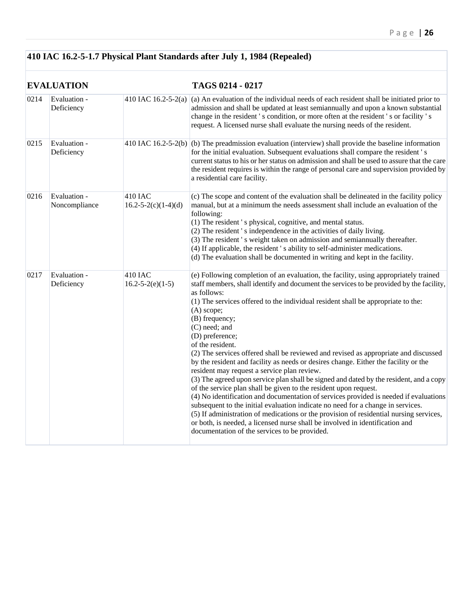## **410 IAC 16.2-5-1.7 Physical Plant Standards after July 1, 1984 (Repealed)**

|      | <b>EVALUATION</b>             |                                      | TAGS 0214 - 0217                                                                                                                                                                                                                                                                                                                                                                                                                                                                                                                                                                                                                                                                                                                                                                                                                                                                                                                                                                                                                                                                                                                                                               |
|------|-------------------------------|--------------------------------------|--------------------------------------------------------------------------------------------------------------------------------------------------------------------------------------------------------------------------------------------------------------------------------------------------------------------------------------------------------------------------------------------------------------------------------------------------------------------------------------------------------------------------------------------------------------------------------------------------------------------------------------------------------------------------------------------------------------------------------------------------------------------------------------------------------------------------------------------------------------------------------------------------------------------------------------------------------------------------------------------------------------------------------------------------------------------------------------------------------------------------------------------------------------------------------|
| 0214 | Evaluation -<br>Deficiency    |                                      | 410 IAC 16.2-5-2(a) (a) An evaluation of the individual needs of each resident shall be initiated prior to<br>admission and shall be updated at least semiannually and upon a known substantial<br>change in the resident 's condition, or more often at the resident 's or facility 's<br>request. A licensed nurse shall evaluate the nursing needs of the resident.                                                                                                                                                                                                                                                                                                                                                                                                                                                                                                                                                                                                                                                                                                                                                                                                         |
| 0215 | Evaluation -<br>Deficiency    |                                      | 410 IAC 16.2-5-2(b) (b) The preadmission evaluation (interview) shall provide the baseline information<br>for the initial evaluation. Subsequent evaluations shall compare the resident's<br>current status to his or her status on admission and shall be used to assure that the care<br>the resident requires is within the range of personal care and supervision provided by<br>a residential care facility.                                                                                                                                                                                                                                                                                                                                                                                                                                                                                                                                                                                                                                                                                                                                                              |
| 0216 | Evaluation -<br>Noncompliance | 410 IAC<br>$16.2 - 5 - 2(c)(1-4)(d)$ | (c) The scope and content of the evaluation shall be delineated in the facility policy<br>manual, but at a minimum the needs assessment shall include an evaluation of the<br>following:<br>(1) The resident 's physical, cognitive, and mental status.<br>(2) The resident 's independence in the activities of daily living.<br>(3) The resident 's weight taken on admission and semiannually thereafter.<br>(4) If applicable, the resident 's ability to self-administer medications.<br>(d) The evaluation shall be documented in writing and kept in the facility.                                                                                                                                                                                                                                                                                                                                                                                                                                                                                                                                                                                                      |
| 0217 | Evaluation -<br>Deficiency    | 410 IAC<br>$16.2 - 5 - 2(e)(1-5)$    | (e) Following completion of an evaluation, the facility, using appropriately trained<br>staff members, shall identify and document the services to be provided by the facility,<br>as follows:<br>(1) The services offered to the individual resident shall be appropriate to the:<br>$(A)$ scope;<br>(B) frequency;<br>(C) need; and<br>(D) preference;<br>of the resident.<br>(2) The services offered shall be reviewed and revised as appropriate and discussed<br>by the resident and facility as needs or desires change. Either the facility or the<br>resident may request a service plan review.<br>(3) The agreed upon service plan shall be signed and dated by the resident, and a copy<br>of the service plan shall be given to the resident upon request.<br>(4) No identification and documentation of services provided is needed if evaluations<br>subsequent to the initial evaluation indicate no need for a change in services.<br>(5) If administration of medications or the provision of residential nursing services,<br>or both, is needed, a licensed nurse shall be involved in identification and<br>documentation of the services to be provided. |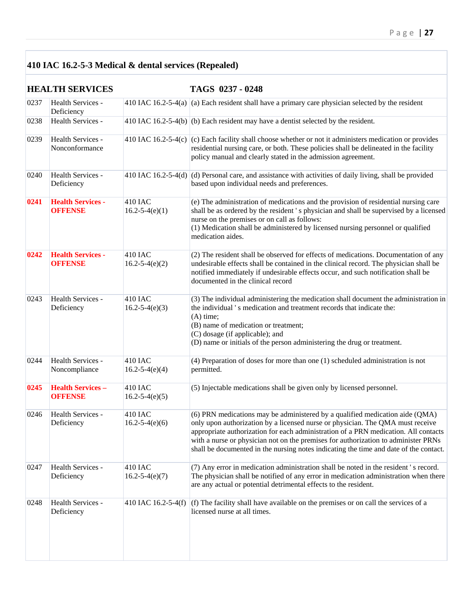## **410 IAC 16.2-5-3 Medical & dental services (Repealed)**

|      | <b>HEALTH SERVICES</b>                     |                                 | TAGS 0237 - 0248                                                                                                                                                                                                                                                                                                                                                                                                                     |
|------|--------------------------------------------|---------------------------------|--------------------------------------------------------------------------------------------------------------------------------------------------------------------------------------------------------------------------------------------------------------------------------------------------------------------------------------------------------------------------------------------------------------------------------------|
| 0237 | Health Services -<br>Deficiency            |                                 | 410 IAC 16.2-5-4(a) $\vert$ (a) Each resident shall have a primary care physician selected by the resident                                                                                                                                                                                                                                                                                                                           |
| 0238 | Health Services -                          |                                 | 410 IAC 16.2-5-4(b) (b) Each resident may have a dentist selected by the resident.                                                                                                                                                                                                                                                                                                                                                   |
| 0239 | Health Services -<br>Nonconformance        |                                 | 410 IAC 16.2-5-4(c) (c) Each facility shall choose whether or not it administers medication or provides<br>residential nursing care, or both. These policies shall be delineated in the facility<br>policy manual and clearly stated in the admission agreement.                                                                                                                                                                     |
| 0240 | Health Services -<br>Deficiency            |                                 | 410 IAC 16.2-5-4(d) $\vert$ (d) Personal care, and assistance with activities of daily living, shall be provided<br>based upon individual needs and preferences.                                                                                                                                                                                                                                                                     |
| 0241 | <b>Health Services -</b><br><b>OFFENSE</b> | 410 IAC<br>$16.2 - 5 - 4(e)(1)$ | (e) The administration of medications and the provision of residential nursing care<br>shall be as ordered by the resident 's physician and shall be supervised by a licensed<br>nurse on the premises or on call as follows:<br>(1) Medication shall be administered by licensed nursing personnel or qualified<br>medication aides.                                                                                                |
| 0242 | <b>Health Services -</b><br><b>OFFENSE</b> | 410 IAC<br>$16.2 - 5 - 4(e)(2)$ | (2) The resident shall be observed for effects of medications. Documentation of any<br>undesirable effects shall be contained in the clinical record. The physician shall be<br>notified immediately if undesirable effects occur, and such notification shall be<br>documented in the clinical record                                                                                                                               |
| 0243 | Health Services -<br>Deficiency            | 410 IAC<br>$16.2 - 5 - 4(e)(3)$ | (3) The individual administering the medication shall document the administration in<br>the individual's medication and treatment records that indicate the:<br>$(A)$ time;<br>(B) name of medication or treatment;<br>(C) dosage (if applicable); and<br>(D) name or initials of the person administering the drug or treatment.                                                                                                    |
| 0244 | Health Services -<br>Noncompliance         | 410 IAC<br>$16.2 - 5 - 4(e)(4)$ | $(4)$ Preparation of doses for more than one $(1)$ scheduled administration is not<br>permitted.                                                                                                                                                                                                                                                                                                                                     |
| 0245 | <b>Health Services -</b><br><b>OFFENSE</b> | 410 IAC<br>$16.2 - 5 - 4(e)(5)$ | (5) Injectable medications shall be given only by licensed personnel.                                                                                                                                                                                                                                                                                                                                                                |
| 0246 | Health Services -<br>Deficiency            | 410 IAC<br>$16.2 - 5 - 4(e)(6)$ | (6) PRN medications may be administered by a qualified medication aide (QMA)<br>only upon authorization by a licensed nurse or physician. The QMA must receive<br>appropriate authorization for each administration of a PRN medication. All contacts<br>with a nurse or physician not on the premises for authorization to administer PRNs<br>shall be documented in the nursing notes indicating the time and date of the contact. |
| 0247 | Health Services -<br>Deficiency            | 410 IAC<br>$16.2 - 5 - 4(e)(7)$ | (7) Any error in medication administration shall be noted in the resident 's record.<br>The physician shall be notified of any error in medication administration when there<br>are any actual or potential detrimental effects to the resident.                                                                                                                                                                                     |
| 0248 | Health Services -<br>Deficiency            | 410 IAC 16.2-5-4(f)             | (f) The facility shall have available on the premises or on call the services of a<br>licensed nurse at all times.                                                                                                                                                                                                                                                                                                                   |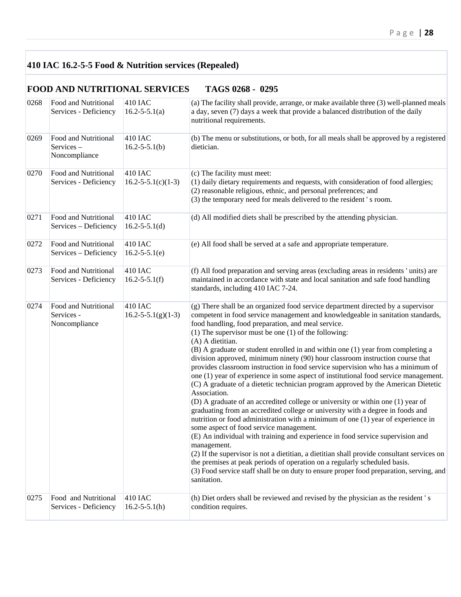## **410 IAC 16.2-5-5 Food & Nutrition services (Repealed)**

## **FOOD AND NUTRITIONAL SERVICES TAGS 0268 - 0295**

| 0268 | Food and Nutritional<br>Services - Deficiency       | 410 IAC<br>$16.2 - 5 - 5.1(a)$        | (a) The facility shall provide, arrange, or make available three (3) well-planned meals<br>a day, seven (7) days a week that provide a balanced distribution of the daily<br>nutritional requirements.                                                                                                                                                                                                                                                                                                                                                                                                                                                                                                                                                                                                                                                                                                                                                                                                                                                                                                                                                                                                                                                                                                                                                                                                                                               |
|------|-----------------------------------------------------|---------------------------------------|------------------------------------------------------------------------------------------------------------------------------------------------------------------------------------------------------------------------------------------------------------------------------------------------------------------------------------------------------------------------------------------------------------------------------------------------------------------------------------------------------------------------------------------------------------------------------------------------------------------------------------------------------------------------------------------------------------------------------------------------------------------------------------------------------------------------------------------------------------------------------------------------------------------------------------------------------------------------------------------------------------------------------------------------------------------------------------------------------------------------------------------------------------------------------------------------------------------------------------------------------------------------------------------------------------------------------------------------------------------------------------------------------------------------------------------------------|
| 0269 | Food and Nutritional<br>Services-<br>Noncompliance  | 410 IAC<br>$16.2 - 5 - 5.1(b)$        | (b) The menu or substitutions, or both, for all meals shall be approved by a registered<br>dietician.                                                                                                                                                                                                                                                                                                                                                                                                                                                                                                                                                                                                                                                                                                                                                                                                                                                                                                                                                                                                                                                                                                                                                                                                                                                                                                                                                |
| 0270 | Food and Nutritional<br>Services - Deficiency       | 410 IAC<br>$16.2 - 5 - 5.1(c)(1-3)$   | (c) The facility must meet:<br>(1) daily dietary requirements and requests, with consideration of food allergies;<br>(2) reasonable religious, ethnic, and personal preferences; and<br>(3) the temporary need for meals delivered to the resident 's room.                                                                                                                                                                                                                                                                                                                                                                                                                                                                                                                                                                                                                                                                                                                                                                                                                                                                                                                                                                                                                                                                                                                                                                                          |
| 0271 | Food and Nutritional<br>Services - Deficiency       | 410 IAC<br>$16.2 - 5 - 5.1(d)$        | (d) All modified diets shall be prescribed by the attending physician.                                                                                                                                                                                                                                                                                                                                                                                                                                                                                                                                                                                                                                                                                                                                                                                                                                                                                                                                                                                                                                                                                                                                                                                                                                                                                                                                                                               |
| 0272 | Food and Nutritional<br>Services - Deficiency       | 410 IAC<br>$16.2 - 5 - 5.1(e)$        | (e) All food shall be served at a safe and appropriate temperature.                                                                                                                                                                                                                                                                                                                                                                                                                                                                                                                                                                                                                                                                                                                                                                                                                                                                                                                                                                                                                                                                                                                                                                                                                                                                                                                                                                                  |
| 0273 | Food and Nutritional<br>Services - Deficiency       | 410 IAC<br>$16.2 - 5 - 5.1(f)$        | (f) All food preparation and serving areas (excluding areas in residents 'units) are<br>maintained in accordance with state and local sanitation and safe food handling<br>standards, including 410 IAC 7-24.                                                                                                                                                                                                                                                                                                                                                                                                                                                                                                                                                                                                                                                                                                                                                                                                                                                                                                                                                                                                                                                                                                                                                                                                                                        |
| 0274 | Food and Nutritional<br>Services -<br>Noncompliance | 410 IAC<br>$16.2 - 5 - 5.1(g)(1-3)$   | (g) There shall be an organized food service department directed by a supervisor<br>competent in food service management and knowledgeable in sanitation standards,<br>food handling, food preparation, and meal service.<br>(1) The supervisor must be one $(1)$ of the following:<br>(A) A dietitian.<br>(B) A graduate or student enrolled in and within one (1) year from completing a<br>division approved, minimum ninety (90) hour classroom instruction course that<br>provides classroom instruction in food service supervision who has a minimum of<br>one (1) year of experience in some aspect of institutional food service management.<br>(C) A graduate of a dietetic technician program approved by the American Dietetic<br>Association.<br>(D) A graduate of an accredited college or university or within one (1) year of<br>graduating from an accredited college or university with a degree in foods and<br>nutrition or food administration with a minimum of one (1) year of experience in<br>some aspect of food service management.<br>(E) An individual with training and experience in food service supervision and<br>management.<br>(2) If the supervisor is not a dietitian, a dietitian shall provide consultant services on<br>the premises at peak periods of operation on a regularly scheduled basis.<br>(3) Food service staff shall be on duty to ensure proper food preparation, serving, and<br>sanitation. |
| 0275 | Food and Nutritional<br>Services - Deficiency       | <b>410 IAC</b><br>$16.2 - 5 - 5.1(h)$ | (h) Diet orders shall be reviewed and revised by the physician as the resident 's<br>condition requires.                                                                                                                                                                                                                                                                                                                                                                                                                                                                                                                                                                                                                                                                                                                                                                                                                                                                                                                                                                                                                                                                                                                                                                                                                                                                                                                                             |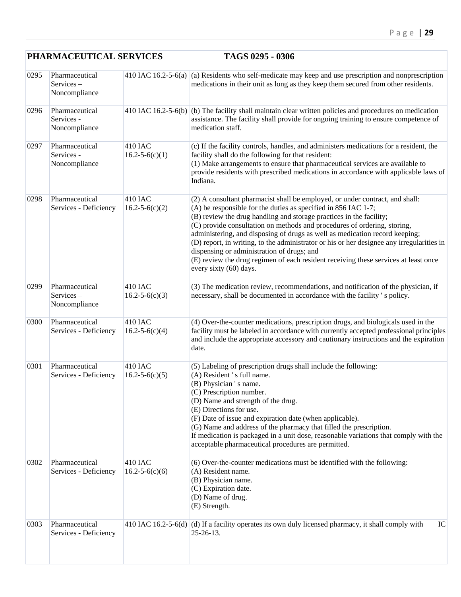|      | PHARMACEUTICAL SERVICES                       |                                 | TAGS 0295 - 0306                                                                                                                                                                                                                                                                                                                                                                                                                                                                                                                                                                                                                               |
|------|-----------------------------------------------|---------------------------------|------------------------------------------------------------------------------------------------------------------------------------------------------------------------------------------------------------------------------------------------------------------------------------------------------------------------------------------------------------------------------------------------------------------------------------------------------------------------------------------------------------------------------------------------------------------------------------------------------------------------------------------------|
| 0295 | Pharmaceutical<br>Services-<br>Noncompliance  |                                 | 410 IAC 16.2-5-6(a) (a) Residents who self-medicate may keep and use prescription and nonprescription<br>medications in their unit as long as they keep them secured from other residents.                                                                                                                                                                                                                                                                                                                                                                                                                                                     |
| 0296 | Pharmaceutical<br>Services -<br>Noncompliance |                                 | 410 IAC 16.2-5-6(b) $ $ (b) The facility shall maintain clear written policies and procedures on medication<br>assistance. The facility shall provide for ongoing training to ensure competence of<br>medication staff.                                                                                                                                                                                                                                                                                                                                                                                                                        |
| 0297 | Pharmaceutical<br>Services -<br>Noncompliance | 410 IAC<br>$16.2 - 5 - 6(c)(1)$ | (c) If the facility controls, handles, and administers medications for a resident, the<br>facility shall do the following for that resident:<br>(1) Make arrangements to ensure that pharmaceutical services are available to<br>provide residents with prescribed medications in accordance with applicable laws of<br>Indiana.                                                                                                                                                                                                                                                                                                               |
| 0298 | Pharmaceutical<br>Services - Deficiency       | 410 IAC<br>$16.2 - 5 - 6(c)(2)$ | (2) A consultant pharmacist shall be employed, or under contract, and shall:<br>$(A)$ be responsible for the duties as specified in 856 IAC 1-7;<br>(B) review the drug handling and storage practices in the facility;<br>(C) provide consultation on methods and procedures of ordering, storing,<br>administering, and disposing of drugs as well as medication record keeping;<br>(D) report, in writing, to the administrator or his or her designee any irregularities in<br>dispensing or administration of drugs; and<br>(E) review the drug regimen of each resident receiving these services at least once<br>every sixty (60) days. |
| 0299 | Pharmaceutical<br>Services-<br>Noncompliance  | 410 IAC<br>$16.2 - 5 - 6(c)(3)$ | (3) The medication review, recommendations, and notification of the physician, if<br>necessary, shall be documented in accordance with the facility 's policy.                                                                                                                                                                                                                                                                                                                                                                                                                                                                                 |
| 0300 | Pharmaceutical<br>Services - Deficiency       | 410 IAC<br>$16.2 - 5 - 6(c)(4)$ | (4) Over-the-counter medications, prescription drugs, and biologicals used in the<br>facility must be labeled in accordance with currently accepted professional principles<br>and include the appropriate accessory and cautionary instructions and the expiration<br>date.                                                                                                                                                                                                                                                                                                                                                                   |
| 0301 | Pharmaceutical<br>Services - Deficiency       | 410 IAC<br>$16.2 - 5 - 6(c)(5)$ | (5) Labeling of prescription drugs shall include the following:<br>(A) Resident's full name.<br>(B) Physician 's name.<br>(C) Prescription number.<br>(D) Name and strength of the drug.<br>(E) Directions for use.<br>(F) Date of issue and expiration date (when applicable).<br>(G) Name and address of the pharmacy that filled the prescription.<br>If medication is packaged in a unit dose, reasonable variations that comply with the<br>acceptable pharmaceutical procedures are permitted.                                                                                                                                           |
| 0302 | Pharmaceutical<br>Services - Deficiency       | 410 IAC<br>$16.2 - 5 - 6(c)(6)$ | (6) Over-the-counter medications must be identified with the following:<br>(A) Resident name.<br>(B) Physician name.<br>(C) Expiration date.<br>(D) Name of drug.<br>(E) Strength.                                                                                                                                                                                                                                                                                                                                                                                                                                                             |
| 0303 | Pharmaceutical<br>Services - Deficiency       |                                 | 410 IAC 16.2-5-6(d) (d) If a facility operates its own duly licensed pharmacy, it shall comply with<br>IC<br>$25 - 26 - 13$ .                                                                                                                                                                                                                                                                                                                                                                                                                                                                                                                  |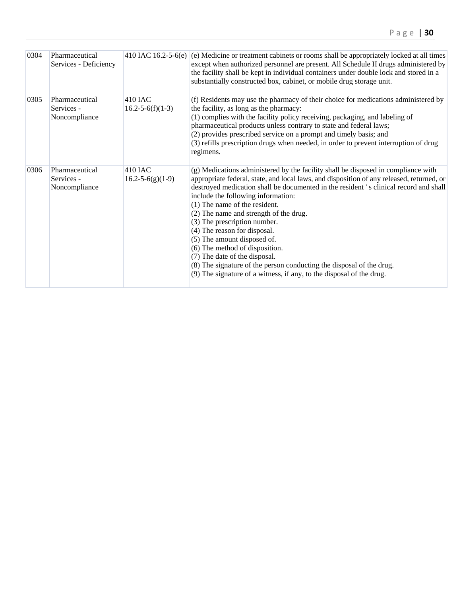| 0304 | Pharmaceutical<br>Services - Deficiency       |                                     | 410 IAC 16.2-5-6(e) (e) Medicine or treatment cabinets or rooms shall be appropriately locked at all times<br>except when authorized personnel are present. All Schedule II drugs administered by<br>the facility shall be kept in individual containers under double lock and stored in a<br>substantially constructed box, cabinet, or mobile drug storage unit.                                                                                                                                                                                                                                                                                                                                         |
|------|-----------------------------------------------|-------------------------------------|------------------------------------------------------------------------------------------------------------------------------------------------------------------------------------------------------------------------------------------------------------------------------------------------------------------------------------------------------------------------------------------------------------------------------------------------------------------------------------------------------------------------------------------------------------------------------------------------------------------------------------------------------------------------------------------------------------|
| 0305 | Pharmaceutical<br>Services -<br>Noncompliance | $410$ JAC<br>$16.2 - 5 - 6(f)(1-3)$ | (f) Residents may use the pharmacy of their choice for medications administered by<br>the facility, as long as the pharmacy:<br>(1) complies with the facility policy receiving, packaging, and labeling of<br>pharmaceutical products unless contrary to state and federal laws;<br>(2) provides prescribed service on a prompt and timely basis; and<br>(3) refills prescription drugs when needed, in order to prevent interruption of drug<br>regimens.                                                                                                                                                                                                                                                |
| 0306 | Pharmaceutical<br>Services -<br>Noncompliance | 410 IAC<br>$16.2 - 5 - 6(g)(1-9)$   | (g) Medications administered by the facility shall be disposed in compliance with<br>appropriate federal, state, and local laws, and disposition of any released, returned, or<br>destroyed medication shall be documented in the resident 's clinical record and shall<br>include the following information:<br>(1) The name of the resident.<br>(2) The name and strength of the drug.<br>(3) The prescription number.<br>(4) The reason for disposal.<br>(5) The amount disposed of.<br>(6) The method of disposition.<br>(7) The date of the disposal.<br>(8) The signature of the person conducting the disposal of the drug.<br>(9) The signature of a witness, if any, to the disposal of the drug. |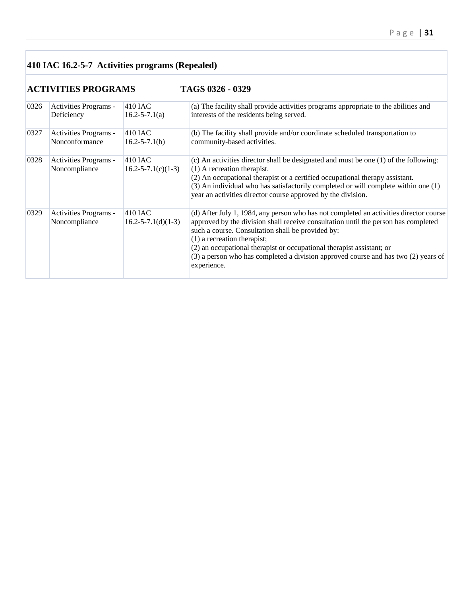## **410 IAC 16.2-5-7 Activities programs (Repealed)**

## **ACTIVITIES PROGRAMS TAGS 0326 - 0329**

| 0326 | Activities Programs -                  | 410 IAC                             | (a) The facility shall provide activities programs appropriate to the abilities and                                                                                                                                                                                                                                                                                                                                                              |
|------|----------------------------------------|-------------------------------------|--------------------------------------------------------------------------------------------------------------------------------------------------------------------------------------------------------------------------------------------------------------------------------------------------------------------------------------------------------------------------------------------------------------------------------------------------|
|      | Deficiency                             | $16.2 - 5 - 7.1(a)$                 | interests of the residents being served.                                                                                                                                                                                                                                                                                                                                                                                                         |
| 0327 | Activities Programs -                  | 410 JAC                             | (b) The facility shall provide and/or coordinate scheduled transportation to                                                                                                                                                                                                                                                                                                                                                                     |
|      | Nonconformance                         | $16.2 - 5 - 7.1(b)$                 | community-based activities.                                                                                                                                                                                                                                                                                                                                                                                                                      |
| 0328 | Activities Programs -<br>Noncompliance | 410 IAC<br>$16.2 - 5 - 7.1(c)(1-3)$ | (c) An activities director shall be designated and must be one (1) of the following:<br>$(1)$ A recreation therapist.<br>(2) An occupational therapist or a certified occupational therapy assistant.<br>(3) An individual who has satisfactorily completed or will complete within one (1)<br>year an activities director course approved by the division.                                                                                      |
| 0329 | Activities Programs -<br>Noncompliance | 410 IAC<br>$16.2 - 5 - 7.1(d)(1-3)$ | (d) After July 1, 1984, any person who has not completed an activities director course<br>approved by the division shall receive consultation until the person has completed<br>such a course. Consultation shall be provided by:<br>$(1)$ a recreation therapist;<br>(2) an occupational therapist or occupational therapist assistant; or<br>(3) a person who has completed a division approved course and has two (2) years of<br>experience. |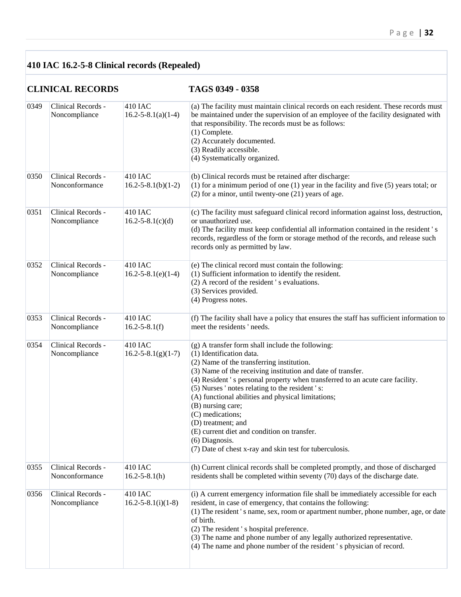## **410 IAC 16.2-5-8 Clinical records (Repealed)**

**CLINICAL RECORDS TAGS 0349 - 0358** 

| 0349 | Clinical Records -<br>Noncompliance  | $410$ IAC<br>$16.2 - 5 - 8.1(a)(1-4)$ | (a) The facility must maintain clinical records on each resident. These records must<br>be maintained under the supervision of an employee of the facility designated with<br>that responsibility. The records must be as follows:<br>(1) Complete.<br>(2) Accurately documented.<br>(3) Readily accessible.<br>(4) Systematically organized.                                                                                                                                                                                                                                 |
|------|--------------------------------------|---------------------------------------|-------------------------------------------------------------------------------------------------------------------------------------------------------------------------------------------------------------------------------------------------------------------------------------------------------------------------------------------------------------------------------------------------------------------------------------------------------------------------------------------------------------------------------------------------------------------------------|
| 0350 | Clinical Records -<br>Nonconformance | 410 IAC<br>$16.2 - 5 - 8.1(b)(1 - 2)$ | (b) Clinical records must be retained after discharge:<br>$(1)$ for a minimum period of one $(1)$ year in the facility and five $(5)$ years total; or<br>$(2)$ for a minor, until twenty-one $(21)$ years of age.                                                                                                                                                                                                                                                                                                                                                             |
| 0351 | Clinical Records -<br>Noncompliance  | 410 IAC<br>$16.2 - 5 - 8.1(c)(d)$     | (c) The facility must safeguard clinical record information against loss, destruction,<br>or unauthorized use.<br>(d) The facility must keep confidential all information contained in the resident's<br>records, regardless of the form or storage method of the records, and release such<br>records only as permitted by law.                                                                                                                                                                                                                                              |
| 0352 | Clinical Records -<br>Noncompliance  | 410 IAC<br>$16.2 - 5 - 8.1(e)(1 - 4)$ | (e) The clinical record must contain the following:<br>(1) Sufficient information to identify the resident.<br>(2) A record of the resident 's evaluations.<br>(3) Services provided.<br>(4) Progress notes.                                                                                                                                                                                                                                                                                                                                                                  |
| 0353 | Clinical Records -<br>Noncompliance  | 410 IAC<br>$16.2 - 5 - 8.1(f)$        | (f) The facility shall have a policy that ensures the staff has sufficient information to<br>meet the residents ' needs.                                                                                                                                                                                                                                                                                                                                                                                                                                                      |
| 0354 | Clinical Records -<br>Noncompliance  | 410 IAC<br>$16.2 - 5 - 8.1(g)(1 - 7)$ | (g) A transfer form shall include the following:<br>(1) Identification data.<br>(2) Name of the transferring institution.<br>(3) Name of the receiving institution and date of transfer.<br>(4) Resident's personal property when transferred to an acute care facility.<br>(5) Nurses 'notes relating to the resident 's:<br>(A) functional abilities and physical limitations;<br>(B) nursing care;<br>(C) medications;<br>(D) treatment; and<br>(E) current diet and condition on transfer.<br>$(6)$ Diagnosis.<br>(7) Date of chest x-ray and skin test for tuberculosis. |
| 0355 | Clinical Records -<br>Nonconformance | 410 IAC<br>$16.2 - 5 - 8.1(h)$        | (h) Current clinical records shall be completed promptly, and those of discharged<br>residents shall be completed within seventy (70) days of the discharge date.                                                                                                                                                                                                                                                                                                                                                                                                             |
| 0356 | Clinical Records -<br>Noncompliance  | 410 IAC<br>$16.2 - 5 - 8.1(i)(1-8)$   | (i) A current emergency information file shall be immediately accessible for each<br>resident, in case of emergency, that contains the following:<br>(1) The resident 's name, sex, room or apartment number, phone number, age, or date<br>of birth.<br>(2) The resident 's hospital preference.<br>(3) The name and phone number of any legally authorized representative.<br>(4) The name and phone number of the resident 's physician of record.                                                                                                                         |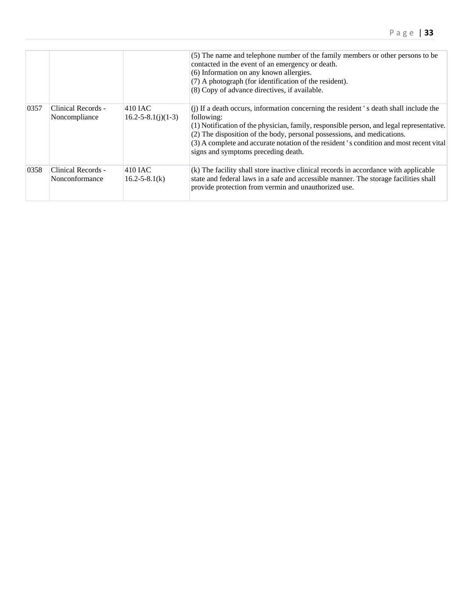|      |                                      |                                     | (5) The name and telephone number of the family members or other persons to be<br>contacted in the event of an emergency or death.<br>(6) Information on any known allergies.<br>(7) A photograph (for identification of the resident).<br>(8) Copy of advance directives, if available.                                                                                                                    |
|------|--------------------------------------|-------------------------------------|-------------------------------------------------------------------------------------------------------------------------------------------------------------------------------------------------------------------------------------------------------------------------------------------------------------------------------------------------------------------------------------------------------------|
| 0357 | Clinical Records -<br>Noncompliance  | 410 IAC<br>$16.2 - 5 - 8.1(j)(1-3)$ | (j) If a death occurs, information concerning the resident 's death shall include the<br>following:<br>(1) Notification of the physician, family, responsible person, and legal representative.<br>(2) The disposition of the body, personal possessions, and medications.<br>(3) A complete and accurate notation of the resident's condition and most recent vital<br>signs and symptoms preceding death. |
| 0358 | Clinical Records -<br>Nonconformance | 410 IAC<br>$16.2 - 5 - 8.1(k)$      | (k) The facility shall store inactive clinical records in accordance with applicable<br>state and federal laws in a safe and accessible manner. The storage facilities shall<br>provide protection from vermin and unauthorized use.                                                                                                                                                                        |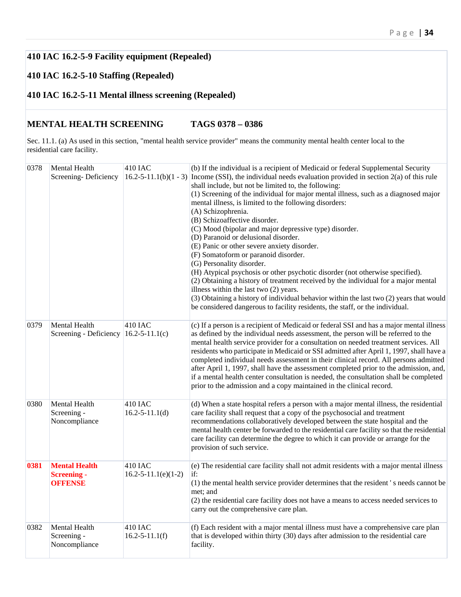## **410 IAC 16.2-5-9 Facility equipment (Repealed)**

#### **410 IAC 16.2-5-10 Staffing (Repealed)**

#### **410 IAC 16.2-5-11 Mental illness screening (Repealed)**

#### **MENTAL HEALTH SCREENING TAGS 0378 – 0386**

Sec. 11.1. (a) As used in this section, "mental health service provider" means the community mental health center local to the residential care facility.

| 0378 | Mental Health<br>Screening-Deficiency                          | 410 IAC                                | (b) If the individual is a recipient of Medicaid or federal Supplemental Security<br>$16.2 - 5 - 11.1(b)(1 - 3)$ Income (SSI), the individual needs evaluation provided in section 2(a) of this rule<br>shall include, but not be limited to, the following:<br>(1) Screening of the individual for major mental illness, such as a diagnosed major<br>mental illness, is limited to the following disorders:<br>(A) Schizophrenia.<br>(B) Schizoaffective disorder.<br>(C) Mood (bipolar and major depressive type) disorder.<br>(D) Paranoid or delusional disorder.<br>(E) Panic or other severe anxiety disorder.<br>(F) Somatoform or paranoid disorder.<br>(G) Personality disorder.<br>(H) Atypical psychosis or other psychotic disorder (not otherwise specified).<br>(2) Obtaining a history of treatment received by the individual for a major mental<br>illness within the last two (2) years.<br>(3) Obtaining a history of individual behavior within the last two (2) years that would<br>be considered dangerous to facility residents, the staff, or the individual. |
|------|----------------------------------------------------------------|----------------------------------------|----------------------------------------------------------------------------------------------------------------------------------------------------------------------------------------------------------------------------------------------------------------------------------------------------------------------------------------------------------------------------------------------------------------------------------------------------------------------------------------------------------------------------------------------------------------------------------------------------------------------------------------------------------------------------------------------------------------------------------------------------------------------------------------------------------------------------------------------------------------------------------------------------------------------------------------------------------------------------------------------------------------------------------------------------------------------------------------|
| 0379 | Mental Health<br>Screening - Deficiency $ 16.2 - 5 - 11.1(c) $ | 410 IAC                                | (c) If a person is a recipient of Medicaid or federal SSI and has a major mental illness<br>as defined by the individual needs assessment, the person will be referred to the<br>mental health service provider for a consultation on needed treatment services. All<br>residents who participate in Medicaid or SSI admitted after April 1, 1997, shall have a<br>completed individual needs assessment in their clinical record. All persons admitted<br>after April 1, 1997, shall have the assessment completed prior to the admission, and,<br>if a mental health center consultation is needed, the consultation shall be completed<br>prior to the admission and a copy maintained in the clinical record.                                                                                                                                                                                                                                                                                                                                                                      |
| 0380 | Mental Health<br>Screening -<br>Noncompliance                  | 410 IAC<br>$16.2 - 5 - 11.1(d)$        | (d) When a state hospital refers a person with a major mental illness, the residential<br>care facility shall request that a copy of the psychosocial and treatment<br>recommendations collaboratively developed between the state hospital and the<br>mental health center be forwarded to the residential care facility so that the residential<br>care facility can determine the degree to which it can provide or arrange for the<br>provision of such service.                                                                                                                                                                                                                                                                                                                                                                                                                                                                                                                                                                                                                   |
| 0381 | <b>Mental Health</b><br><b>Screening -</b><br><b>OFFENSE</b>   | 410 IAC<br>$16.2 - 5 - 11.1(e)(1 - 2)$ | (e) The residential care facility shall not admit residents with a major mental illness<br>if:<br>(1) the mental health service provider determines that the resident's needs cannot be<br>met; and<br>(2) the residential care facility does not have a means to access needed services to<br>carry out the comprehensive care plan.                                                                                                                                                                                                                                                                                                                                                                                                                                                                                                                                                                                                                                                                                                                                                  |
| 0382 | Mental Health<br>Screening -<br>Noncompliance                  | $410$ IAC<br>$16.2 - 5 - 11.1(f)$      | (f) Each resident with a major mental illness must have a comprehensive care plan<br>that is developed within thirty (30) days after admission to the residential care<br>facility.                                                                                                                                                                                                                                                                                                                                                                                                                                                                                                                                                                                                                                                                                                                                                                                                                                                                                                    |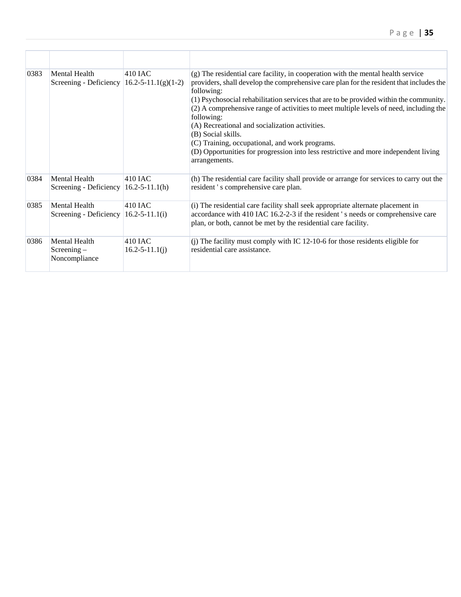| 0383 | Mental Health<br>Screening - Deficiency $ 16.2 - 5 - 11.1(g)(1-2) $ | $410$ JAC                         | (g) The residential care facility, in cooperation with the mental health service<br>providers, shall develop the comprehensive care plan for the resident that includes the<br>following:<br>(1) Psychosocial rehabilitation services that are to be provided within the community.<br>(2) A comprehensive range of activities to meet multiple levels of need, including the<br>following:<br>(A) Recreational and socialization activities.<br>(B) Social skills.<br>(C) Training, occupational, and work programs.<br>(D) Opportunities for progression into less restrictive and more independent living<br>arrangements. |
|------|---------------------------------------------------------------------|-----------------------------------|-------------------------------------------------------------------------------------------------------------------------------------------------------------------------------------------------------------------------------------------------------------------------------------------------------------------------------------------------------------------------------------------------------------------------------------------------------------------------------------------------------------------------------------------------------------------------------------------------------------------------------|
| 0384 | Mental Health<br>Screening - Deficiency                             | $410$ IAC<br>$16.2 - 5 - 11.1(h)$ | (h) The residential care facility shall provide or arrange for services to carry out the<br>resident 's comprehensive care plan.                                                                                                                                                                                                                                                                                                                                                                                                                                                                                              |
| 0385 | Mental Health<br>Screening - Deficiency                             | $410$ JAC<br>$16.2 - 5 - 11.1(i)$ | (i) The residential care facility shall seek appropriate alternate placement in<br>accordance with 410 IAC 16.2-2-3 if the resident 's needs or comprehensive care<br>plan, or both, cannot be met by the residential care facility.                                                                                                                                                                                                                                                                                                                                                                                          |
| 0386 | Mental Health<br>$Screening -$<br>Noncompliance                     | 410 IAC<br>$16.2 - 5 - 11.1(j)$   | (j) The facility must comply with IC 12-10-6 for those residents eligible for<br>residential care assistance.                                                                                                                                                                                                                                                                                                                                                                                                                                                                                                                 |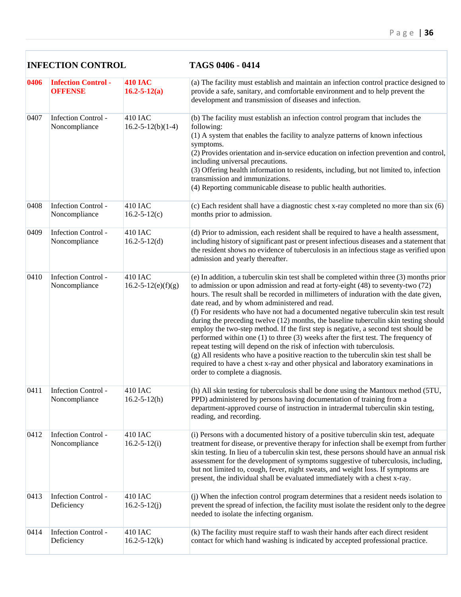|      | <b>INFECTION CONTROL</b>                    |                                      | TAGS 0406 - 0414                                                                                                                                                                                                                                                                                                                                                                                                                                                                                                                                                                                                                                                                                                                                                                                                                                                                                                                                                             |  |
|------|---------------------------------------------|--------------------------------------|------------------------------------------------------------------------------------------------------------------------------------------------------------------------------------------------------------------------------------------------------------------------------------------------------------------------------------------------------------------------------------------------------------------------------------------------------------------------------------------------------------------------------------------------------------------------------------------------------------------------------------------------------------------------------------------------------------------------------------------------------------------------------------------------------------------------------------------------------------------------------------------------------------------------------------------------------------------------------|--|
| 0406 | <b>Infection Control-</b><br><b>OFFENSE</b> | <b>410 IAC</b><br>$16.2 - 5 - 12(a)$ | (a) The facility must establish and maintain an infection control practice designed to<br>provide a safe, sanitary, and comfortable environment and to help prevent the<br>development and transmission of diseases and infection.                                                                                                                                                                                                                                                                                                                                                                                                                                                                                                                                                                                                                                                                                                                                           |  |
| 0407 | <b>Infection Control -</b><br>Noncompliance | 410 IAC<br>$16.2 - 5 - 12(b)(1-4)$   | (b) The facility must establish an infection control program that includes the<br>following:<br>(1) A system that enables the facility to analyze patterns of known infectious<br>symptoms.<br>(2) Provides orientation and in-service education on infection prevention and control,<br>including universal precautions.<br>(3) Offering health information to residents, including, but not limited to, infection<br>transmission and immunizations.<br>(4) Reporting communicable disease to public health authorities.                                                                                                                                                                                                                                                                                                                                                                                                                                                   |  |
| 0408 | Infection Control -<br>Noncompliance        | 410 IAC<br>$16.2 - 5 - 12(c)$        | (c) Each resident shall have a diagnostic chest x-ray completed no more than six (6)<br>months prior to admission.                                                                                                                                                                                                                                                                                                                                                                                                                                                                                                                                                                                                                                                                                                                                                                                                                                                           |  |
| 0409 | Infection Control -<br>Noncompliance        | 410 IAC<br>$16.2 - 5 - 12(d)$        | (d) Prior to admission, each resident shall be required to have a health assessment,<br>including history of significant past or present infectious diseases and a statement that<br>the resident shows no evidence of tuberculosis in an infectious stage as verified upon<br>admission and yearly thereafter.                                                                                                                                                                                                                                                                                                                                                                                                                                                                                                                                                                                                                                                              |  |
| 0410 | <b>Infection Control -</b><br>Noncompliance | 410 IAC<br>$16.2 - 5 - 12(e)(f)(g)$  | (e) In addition, a tuberculin skin test shall be completed within three (3) months prior<br>to admission or upon admission and read at forty-eight (48) to seventy-two (72)<br>hours. The result shall be recorded in millimeters of induration with the date given,<br>date read, and by whom administered and read.<br>(f) For residents who have not had a documented negative tuberculin skin test result<br>during the preceding twelve (12) months, the baseline tuberculin skin testing should<br>employ the two-step method. If the first step is negative, a second test should be<br>performed within one $(1)$ to three $(3)$ weeks after the first test. The frequency of<br>repeat testing will depend on the risk of infection with tuberculosis.<br>(g) All residents who have a positive reaction to the tuberculin skin test shall be<br>required to have a chest x-ray and other physical and laboratory examinations in<br>order to complete a diagnosis. |  |
| 0411 | Infection Control -<br>Noncompliance        | 410 IAC<br>$16.2 - 5 - 12(h)$        | (h) All skin testing for tuberculosis shall be done using the Mantoux method (5TU,<br>PPD) administered by persons having documentation of training from a<br>department-approved course of instruction in intradermal tuberculin skin testing,<br>reading, and recording.                                                                                                                                                                                                                                                                                                                                                                                                                                                                                                                                                                                                                                                                                                   |  |
| 0412 | <b>Infection Control -</b><br>Noncompliance | 410 IAC<br>$16.2 - 5 - 12(i)$        | (i) Persons with a documented history of a positive tuberculin skin test, adequate<br>treatment for disease, or preventive therapy for infection shall be exempt from further<br>skin testing. In lieu of a tuberculin skin test, these persons should have an annual risk<br>assessment for the development of symptoms suggestive of tuberculosis, including,<br>but not limited to, cough, fever, night sweats, and weight loss. If symptoms are<br>present, the individual shall be evaluated immediately with a chest x-ray.                                                                                                                                                                                                                                                                                                                                                                                                                                            |  |
| 0413 | Infection Control -<br>Deficiency           | 410 IAC<br>$16.2 - 5 - 12(j)$        | (j) When the infection control program determines that a resident needs isolation to<br>prevent the spread of infection, the facility must isolate the resident only to the degree<br>needed to isolate the infecting organism.                                                                                                                                                                                                                                                                                                                                                                                                                                                                                                                                                                                                                                                                                                                                              |  |
| 0414 | <b>Infection Control -</b><br>Deficiency    | 410 IAC<br>$16.2 - 5 - 12(k)$        | (k) The facility must require staff to wash their hands after each direct resident<br>contact for which hand washing is indicated by accepted professional practice.                                                                                                                                                                                                                                                                                                                                                                                                                                                                                                                                                                                                                                                                                                                                                                                                         |  |

Г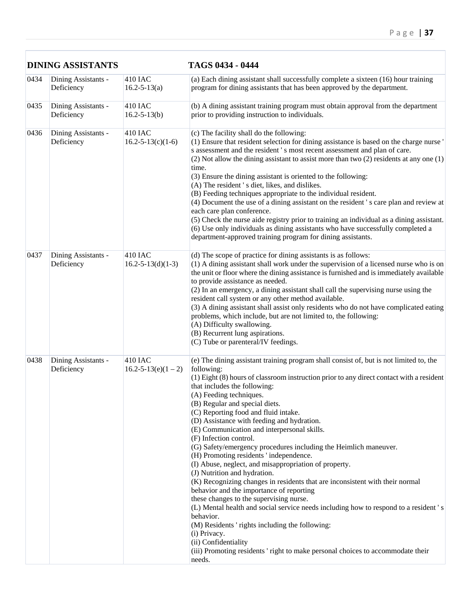|      | <b>DINING ASSISTANTS</b>          |                                             | TAGS 0434 - 0444                                                                                                                                                                                                                                                                                                                                                                                                                                                                                                                                                                                                                                                                                                                                                                                                                                                                                                                                                                                                                                                                                                                     |  |  |
|------|-----------------------------------|---------------------------------------------|--------------------------------------------------------------------------------------------------------------------------------------------------------------------------------------------------------------------------------------------------------------------------------------------------------------------------------------------------------------------------------------------------------------------------------------------------------------------------------------------------------------------------------------------------------------------------------------------------------------------------------------------------------------------------------------------------------------------------------------------------------------------------------------------------------------------------------------------------------------------------------------------------------------------------------------------------------------------------------------------------------------------------------------------------------------------------------------------------------------------------------------|--|--|
| 0434 | Dining Assistants -<br>Deficiency | <b>410 IAC</b><br>$16.2 - 5 - 13(a)$        | (a) Each dining assistant shall successfully complete a sixteen (16) hour training<br>program for dining assistants that has been approved by the department.                                                                                                                                                                                                                                                                                                                                                                                                                                                                                                                                                                                                                                                                                                                                                                                                                                                                                                                                                                        |  |  |
| 0435 | Dining Assistants -<br>Deficiency | 410 IAC<br>$16.2 - 5 - 13(b)$               | (b) A dining assistant training program must obtain approval from the department<br>prior to providing instruction to individuals.                                                                                                                                                                                                                                                                                                                                                                                                                                                                                                                                                                                                                                                                                                                                                                                                                                                                                                                                                                                                   |  |  |
| 0436 | Dining Assistants -<br>Deficiency | 410 IAC<br>$16.2 - 5 - 13(c)(1-6)$          | (c) The facility shall do the following:<br>(1) Ensure that resident selection for dining assistance is based on the charge nurse '<br>s assessment and the resident 's most recent assessment and plan of care.<br>$(2)$ Not allow the dining assistant to assist more than two $(2)$ residents at any one $(1)$<br>time.<br>(3) Ensure the dining assistant is oriented to the following:<br>(A) The resident 's diet, likes, and dislikes.<br>(B) Feeding techniques appropriate to the individual resident.<br>(4) Document the use of a dining assistant on the resident 's care plan and review at<br>each care plan conference.<br>(5) Check the nurse aide registry prior to training an individual as a dining assistant.<br>(6) Use only individuals as dining assistants who have successfully completed a<br>department-approved training program for dining assistants.                                                                                                                                                                                                                                                 |  |  |
| 0437 | Dining Assistants -<br>Deficiency | 410 IAC<br>$16.2 - 5 - 13(d)(1-3)$          | (d) The scope of practice for dining assistants is as follows:<br>(1) A dining assistant shall work under the supervision of a licensed nurse who is on<br>the unit or floor where the dining assistance is furnished and is immediately available<br>to provide assistance as needed.<br>(2) In an emergency, a dining assistant shall call the supervising nurse using the<br>resident call system or any other method available.<br>(3) A dining assistant shall assist only residents who do not have complicated eating<br>problems, which include, but are not limited to, the following:<br>(A) Difficulty swallowing.<br>(B) Recurrent lung aspirations.<br>(C) Tube or parenteral/IV feedings.                                                                                                                                                                                                                                                                                                                                                                                                                              |  |  |
| 0438 | Dining Assistants -<br>Deficiency | <b>410 IAC</b><br>$16.2 - 5 - 13(e)(1 - 2)$ | (e) The dining assistant training program shall consist of, but is not limited to, the<br>following:<br>(1) Eight (8) hours of classroom instruction prior to any direct contact with a resident<br>that includes the following:<br>(A) Feeding techniques.<br>(B) Regular and special diets.<br>(C) Reporting food and fluid intake.<br>(D) Assistance with feeding and hydration.<br>(E) Communication and interpersonal skills.<br>(F) Infection control.<br>(G) Safety/emergency procedures including the Heimlich maneuver.<br>(H) Promoting residents 'independence.<br>(I) Abuse, neglect, and misappropriation of property.<br>(J) Nutrition and hydration.<br>(K) Recognizing changes in residents that are inconsistent with their normal<br>behavior and the importance of reporting<br>these changes to the supervising nurse.<br>(L) Mental health and social service needs including how to respond to a resident's<br>behavior.<br>(M) Residents 'rights including the following:<br>(i) Privacy.<br>(ii) Confidentiality<br>(iii) Promoting residents 'right to make personal choices to accommodate their<br>needs. |  |  |